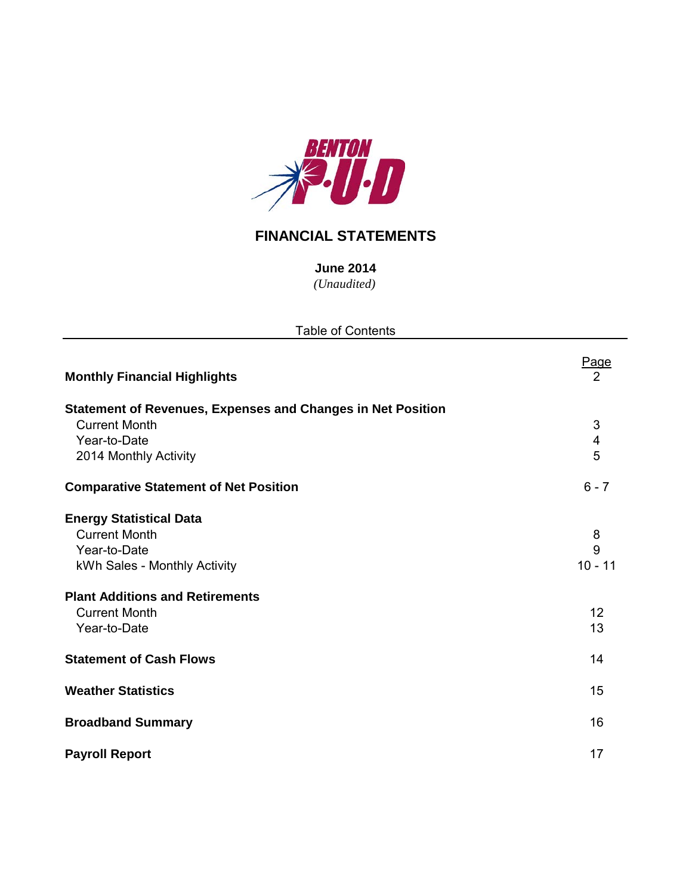

## **FINANCIAL STATEMENTS**

*(Unaudited)* **June 2014**

| <b>Table of Contents</b>                                           |                         |  |  |  |  |  |  |
|--------------------------------------------------------------------|-------------------------|--|--|--|--|--|--|
| <b>Monthly Financial Highlights</b>                                | Page<br>2               |  |  |  |  |  |  |
| <b>Statement of Revenues, Expenses and Changes in Net Position</b> |                         |  |  |  |  |  |  |
| <b>Current Month</b>                                               | 3                       |  |  |  |  |  |  |
| Year-to-Date                                                       | $\overline{\mathbf{4}}$ |  |  |  |  |  |  |
| 2014 Monthly Activity                                              | 5                       |  |  |  |  |  |  |
| <b>Comparative Statement of Net Position</b>                       | $6 - 7$                 |  |  |  |  |  |  |
| <b>Energy Statistical Data</b>                                     |                         |  |  |  |  |  |  |
| <b>Current Month</b>                                               | 8                       |  |  |  |  |  |  |
| Year-to-Date                                                       | 9                       |  |  |  |  |  |  |
| kWh Sales - Monthly Activity                                       | $10 - 11$               |  |  |  |  |  |  |
| <b>Plant Additions and Retirements</b>                             |                         |  |  |  |  |  |  |
| <b>Current Month</b>                                               | 12                      |  |  |  |  |  |  |
| Year-to-Date                                                       | 13                      |  |  |  |  |  |  |
| <b>Statement of Cash Flows</b>                                     | 14                      |  |  |  |  |  |  |
| <b>Weather Statistics</b>                                          | 15                      |  |  |  |  |  |  |
| <b>Broadband Summary</b>                                           | 16                      |  |  |  |  |  |  |
| <b>Payroll Report</b>                                              | 17                      |  |  |  |  |  |  |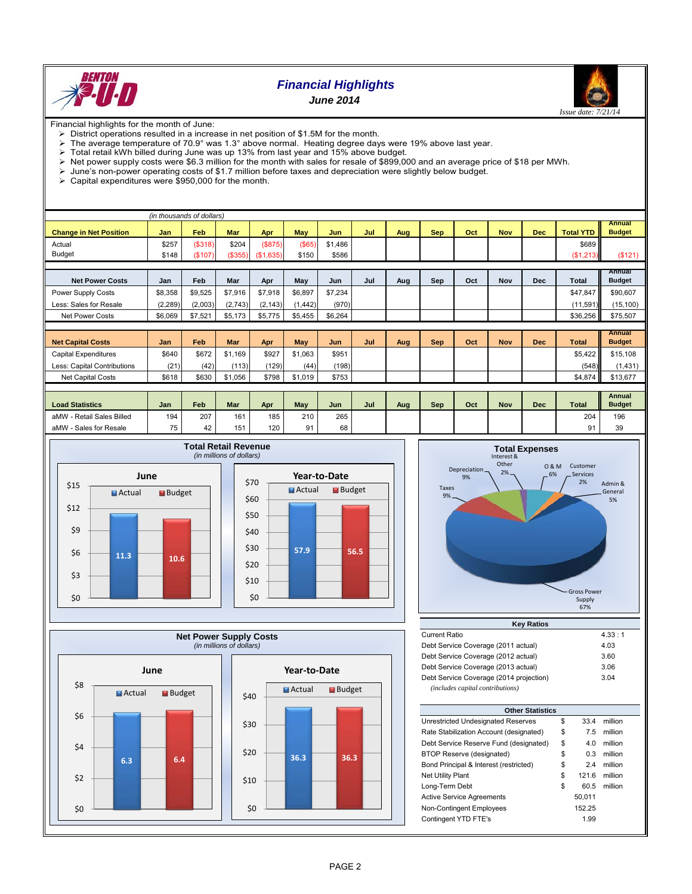

# *Financial Highlights*





Financial highlights for the month of June:

- $\triangleright$  District operations resulted in a increase in net position of \$1.5M for the month.<br> $\triangleright$  The average temperature of 70.9° was 1.3° above normal. Heating degree day
- The average temperature of 70.9° was 1.3° above normal. Heating degree days were 19% above last year.
- $\triangleright$  Total retail kWh billed during June was up 13% from last year and 15% above budget.
- $\triangleright$  Net power supply costs were \$6.3 million for the month with sales for resale of \$899,000 and an average price of \$18 per MWh.
- $\triangleright$  June's non-power operating costs of \$1.7 million before taxes and depreciation were slightly below budget. Sulting's non-power operating costs of year in the month.<br>
Subset of the month.
- 

|                               | (in thousands of dollars) |         |            |           |            |            |     |     |            |     |            |     |                  |                                |
|-------------------------------|---------------------------|---------|------------|-----------|------------|------------|-----|-----|------------|-----|------------|-----|------------------|--------------------------------|
| <b>Change in Net Position</b> | Jan                       | Feb     | <b>Mar</b> | Apr       | May        | <b>Jun</b> | Jul | Aug | <b>Sep</b> | Oct | <b>Nov</b> | Dec | <b>Total YTD</b> | <b>Annual</b><br><b>Budget</b> |
|                               |                           |         |            |           |            |            |     |     |            |     |            |     |                  |                                |
| Actual                        | \$257                     | (\$318) | \$204      | (S875)    | $($ \$65)  | \$1,486    |     |     |            |     |            |     | \$689            |                                |
| <b>Budget</b>                 | \$148                     | (\$107) | (\$355)    | (\$1,635) | \$150      | \$586      |     |     |            |     |            |     | (\$1,213)        | (\$121)                        |
|                               |                           |         |            |           |            |            |     |     |            |     |            |     |                  |                                |
|                               |                           | Feb     |            |           |            |            | Jul |     |            |     |            |     |                  | Annual                         |
| <b>Net Power Costs</b>        | Jan                       |         | Mar        | Apr       | May        | Jun        |     | Aug | Sep        | Oct | <b>Nov</b> | Dec | Total            | <b>Budget</b>                  |
| Power Supply Costs            | \$8,358                   | \$9,525 | \$7,916    | \$7,918   | \$6,897    | \$7,234    |     |     |            |     |            |     | \$47,847         | \$90,607                       |
| Less: Sales for Resale        | (2,289)                   | (2,003) | (2,743)    | (2, 143)  | (1, 442)   | (970)      |     |     |            |     |            |     | (11, 591)        | (15, 100)                      |
| <b>Net Power Costs</b>        | \$6,069                   | \$7,521 | \$5,173    | \$5,775   | \$5,455    | \$6,264    |     |     |            |     |            |     | \$36,256         | \$75,507                       |
|                               |                           |         |            |           |            |            |     |     |            |     |            |     |                  |                                |
|                               |                           |         |            |           |            |            |     |     |            |     |            |     |                  | <b>Annual</b>                  |
| <b>Net Capital Costs</b>      | Jan                       | Feb     | <b>Mar</b> | Apr       | <b>May</b> | Jun        | Jul | Aug | <b>Sep</b> | Oct | <b>Nov</b> | Dec | <b>Total</b>     | <b>Budget</b>                  |
| <b>Capital Expenditures</b>   | \$640                     | \$672   | \$1.169    | \$927     | \$1,063    | \$951      |     |     |            |     |            |     | \$5.422          | \$15,108                       |
| Less: Capital Contributions   | (21)                      | (42)    | (113)      | (129)     | (44)       | (198)      |     |     |            |     |            |     | (548)            | (1,431)                        |
| Net Capital Costs             | \$618                     | \$630   | \$1,056    | \$798     | \$1,019    | \$753      |     |     |            |     |            |     | \$4,874          | \$13,677                       |
|                               |                           |         |            |           |            |            |     |     |            |     |            |     |                  |                                |
|                               |                           |         |            |           |            |            |     |     |            |     |            |     |                  | <b>Annual</b>                  |
| <b>Load Statistics</b>        | Jan                       | Feb     | <b>Mar</b> | Apr       | May        | Jun        | Jul | Aug | Sep        | Oct | <b>Nov</b> | Dec | <b>Total</b>     | <b>Budget</b>                  |
| aMW - Retail Sales Billed     | 194                       | 207     | 161        | 185       | 210        | 265        |     |     |            |     |            |     | 204              | 196                            |
|                               |                           |         |            |           |            |            |     |     |            |     |            |     |                  |                                |







| <b>Current Ratio</b>                    | 4.33 : 1 |
|-----------------------------------------|----------|
| Debt Service Coverage (2011 actual)     | 4.03     |
| Debt Service Coverage (2012 actual)     | 3.60     |
| Debt Service Coverage (2013 actual)     | 3.06     |
| Debt Service Coverage (2014 projection) | 3.04     |
| (includes capital contributions)        |          |

| <b>Other Statistics</b>                 |    |        |         |  |  |  |  |  |  |  |
|-----------------------------------------|----|--------|---------|--|--|--|--|--|--|--|
| Unrestricted Undesignated Reserves      | \$ | 33.4   | million |  |  |  |  |  |  |  |
| Rate Stabilization Account (designated) | \$ | 7.5    | million |  |  |  |  |  |  |  |
| Debt Service Reserve Fund (designated)  | \$ | 4.0    | million |  |  |  |  |  |  |  |
| BTOP Reserve (designated)               | \$ | 0.3    | million |  |  |  |  |  |  |  |
| Bond Principal & Interest (restricted)  | \$ | 2.4    | million |  |  |  |  |  |  |  |
| <b>Net Utility Plant</b>                | \$ | 121.6  | million |  |  |  |  |  |  |  |
| Long-Term Debt                          | \$ | 60.5   | million |  |  |  |  |  |  |  |
| <b>Active Service Agreements</b>        |    | 50.011 |         |  |  |  |  |  |  |  |
| <b>Non-Contingent Employees</b>         |    | 152.25 |         |  |  |  |  |  |  |  |
| Contingent YTD FTE's                    |    | 1.99   |         |  |  |  |  |  |  |  |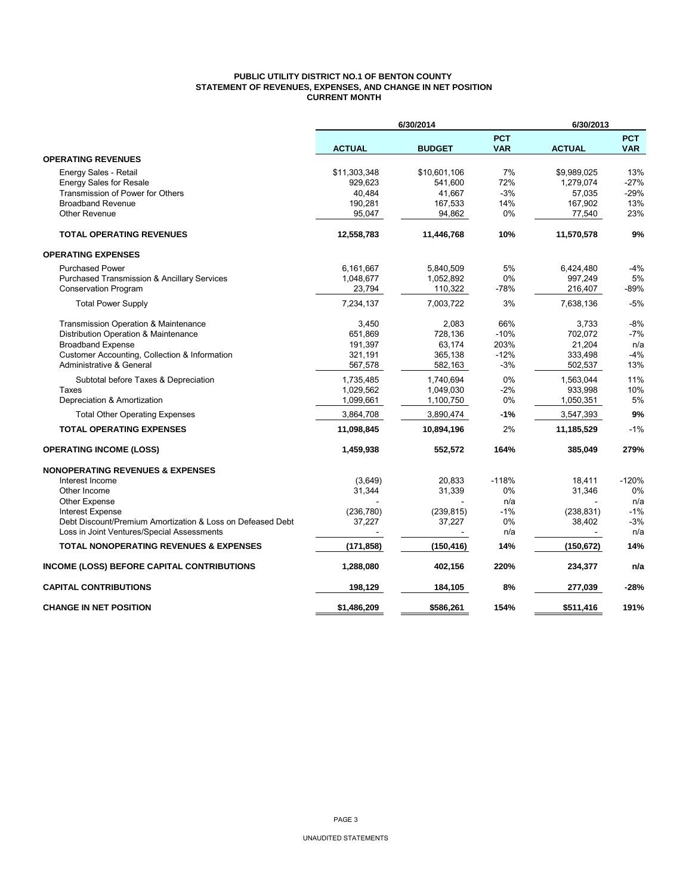### **PUBLIC UTILITY DISTRICT NO.1 OF BENTON COUNTY STATEMENT OF REVENUES, EXPENSES, AND CHANGE IN NET POSITION CURRENT MONTH**

|                                                                                |                          | 6/30/2014            |                          | 6/30/2013            |                          |
|--------------------------------------------------------------------------------|--------------------------|----------------------|--------------------------|----------------------|--------------------------|
|                                                                                | <b>ACTUAL</b>            | <b>BUDGET</b>        | <b>PCT</b><br><b>VAR</b> | <b>ACTUAL</b>        | <b>PCT</b><br><b>VAR</b> |
| <b>OPERATING REVENUES</b>                                                      |                          |                      |                          |                      |                          |
| Energy Sales - Retail                                                          | \$11,303,348             | \$10,601,106         | 7%                       | \$9,989,025          | 13%                      |
| <b>Energy Sales for Resale</b>                                                 | 929,623                  | 541,600              | 72%                      | 1,279,074            | $-27%$                   |
| Transmission of Power for Others                                               | 40,484                   | 41,667               | $-3%$                    | 57,035               | -29%                     |
| <b>Broadband Revenue</b>                                                       | 190,281                  | 167,533              | 14%                      | 167,902              | 13%                      |
| <b>Other Revenue</b>                                                           | 95,047                   | 94,862               | 0%                       | 77,540               | 23%                      |
| <b>TOTAL OPERATING REVENUES</b>                                                | 12,558,783               | 11,446,768           | 10%                      | 11,570,578           | 9%                       |
| <b>OPERATING EXPENSES</b>                                                      |                          |                      |                          |                      |                          |
| <b>Purchased Power</b>                                                         | 6,161,667                | 5.840.509            | 5%                       | 6,424,480            | $-4%$                    |
| <b>Purchased Transmission &amp; Ancillary Services</b>                         | 1,048,677                | 1,052,892            | 0%                       | 997,249              | 5%                       |
| Conservation Program                                                           | 23,794                   | 110,322              | -78%                     | 216,407              | -89%                     |
| <b>Total Power Supply</b>                                                      | 7,234,137                | 7.003.722            | 3%                       | 7,638,136            | $-5%$                    |
| Transmission Operation & Maintenance                                           | 3,450                    | 2,083                | 66%                      | 3.733                | $-8%$                    |
| Distribution Operation & Maintenance                                           | 651,869                  | 728.136              | $-10%$                   | 702,072              | $-7%$                    |
| <b>Broadband Expense</b>                                                       | 191,397                  | 63,174               | 203%                     | 21,204               | n/a                      |
| Customer Accounting, Collection & Information                                  | 321,191                  | 365,138              | $-12%$                   | 333,498              | $-4%$                    |
| Administrative & General                                                       | 567,578                  | 582,163              | $-3%$                    | 502,537              | 13%                      |
| Subtotal before Taxes & Depreciation                                           | 1,735,485                | 1,740,694            | 0%                       | 1,563,044            | 11%                      |
| Taxes                                                                          | 1,029,562                | 1,049,030            | $-2%$                    | 933,998              | 10%                      |
| Depreciation & Amortization                                                    | 1,099,661                | 1,100,750            | 0%                       | 1,050,351            | 5%                       |
| <b>Total Other Operating Expenses</b>                                          | 3,864,708                | 3,890,474            | $-1%$                    | 3,547,393            | 9%                       |
| <b>TOTAL OPERATING EXPENSES</b>                                                | 11,098,845               | 10.894.196           | 2%                       | 11,185,529           | $-1%$                    |
| <b>OPERATING INCOME (LOSS)</b>                                                 | 1,459,938                | 552,572              | 164%                     | 385,049              | 279%                     |
| <b>NONOPERATING REVENUES &amp; EXPENSES</b>                                    |                          |                      |                          |                      |                          |
| Interest Income                                                                | (3,649)                  | 20,833               | $-118%$                  | 18,411               | $-120%$                  |
| Other Income                                                                   | 31,344                   | 31,339               | $0\%$                    | 31,346               | 0%                       |
| <b>Other Expense</b>                                                           |                          |                      | n/a                      |                      | n/a<br>$-1%$             |
| Interest Expense<br>Debt Discount/Premium Amortization & Loss on Defeased Debt | (236, 780)<br>37,227     | (239, 815)<br>37,227 | $-1%$<br>0%              | (238, 831)<br>38,402 | $-3%$                    |
| Loss in Joint Ventures/Special Assessments                                     | $\overline{\phantom{a}}$ |                      | n/a                      | $\sim$               | n/a                      |
| <b>TOTAL NONOPERATING REVENUES &amp; EXPENSES</b>                              | (171, 858)               | (150, 416)           | 14%                      | (150, 672)           | 14%                      |
|                                                                                |                          |                      |                          |                      |                          |
| INCOME (LOSS) BEFORE CAPITAL CONTRIBUTIONS                                     | 1,288,080                | 402,156              | 220%                     | 234,377              | n/a                      |
| <b>CAPITAL CONTRIBUTIONS</b>                                                   | 198,129                  | 184,105              | 8%                       | 277,039              | -28%                     |
| <b>CHANGE IN NET POSITION</b>                                                  | \$1,486,209              | \$586,261            | 154%                     | \$511,416            | 191%                     |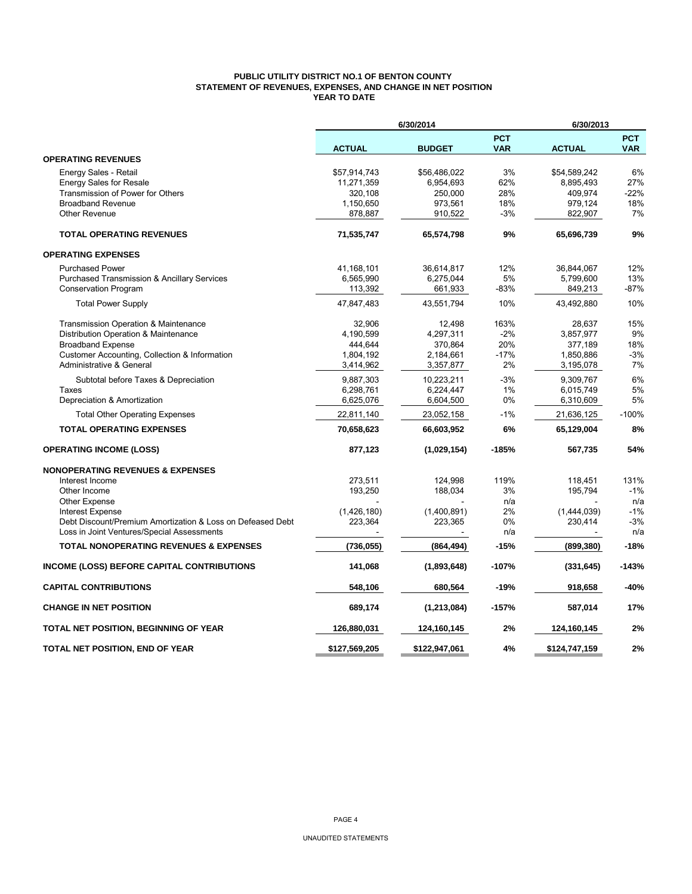### **PUBLIC UTILITY DISTRICT NO.1 OF BENTON COUNTY STATEMENT OF REVENUES, EXPENSES, AND CHANGE IN NET POSITION YEAR TO DATE**

|                                                            |               | 6/30/2014     |                          | 6/30/2013     |                          |
|------------------------------------------------------------|---------------|---------------|--------------------------|---------------|--------------------------|
|                                                            | <b>ACTUAL</b> | <b>BUDGET</b> | <b>PCT</b><br><b>VAR</b> | <b>ACTUAL</b> | <b>PCT</b><br><b>VAR</b> |
| <b>OPERATING REVENUES</b>                                  |               |               |                          |               |                          |
| Energy Sales - Retail                                      | \$57,914,743  | \$56,486,022  | 3%                       | \$54,589,242  | 6%                       |
| <b>Energy Sales for Resale</b>                             | 11,271,359    | 6,954,693     | 62%                      | 8,895,493     | 27%                      |
| Transmission of Power for Others                           | 320,108       | 250,000       | 28%                      | 409,974       | $-22%$                   |
| <b>Broadband Revenue</b>                                   | 1,150,650     | 973,561       | 18%                      | 979,124       | 18%                      |
| <b>Other Revenue</b>                                       | 878,887       | 910,522       | $-3%$                    | 822,907       | 7%                       |
| <b>TOTAL OPERATING REVENUES</b>                            | 71,535,747    | 65,574,798    | 9%                       | 65,696,739    | 9%                       |
| <b>OPERATING EXPENSES</b>                                  |               |               |                          |               |                          |
| <b>Purchased Power</b>                                     | 41,168,101    | 36,614,817    | 12%                      | 36,844,067    | 12%                      |
| <b>Purchased Transmission &amp; Ancillary Services</b>     | 6,565,990     | 6,275,044     | 5%                       | 5,799,600     | 13%                      |
| <b>Conservation Program</b>                                | 113,392       | 661,933       | -83%                     | 849,213       | -87%                     |
| <b>Total Power Supply</b>                                  | 47,847,483    | 43,551,794    | 10%                      | 43,492,880    | 10%                      |
| Transmission Operation & Maintenance                       | 32,906        | 12,498        | 163%                     | 28,637        | 15%                      |
| Distribution Operation & Maintenance                       | 4,190,599     | 4,297,311     | $-2%$                    | 3.857.977     | 9%                       |
| <b>Broadband Expense</b>                                   | 444,644       | 370,864       | 20%                      | 377,189       | 18%                      |
| Customer Accounting, Collection & Information              | 1,804,192     | 2,184,661     | $-17%$                   | 1,850,886     | $-3%$                    |
| <b>Administrative &amp; General</b>                        | 3,414,962     | 3,357,877     | 2%                       | 3,195,078     | 7%                       |
| Subtotal before Taxes & Depreciation                       | 9,887,303     | 10,223,211    | $-3%$                    | 9,309,767     | 6%                       |
| Taxes                                                      | 6,298,761     | 6,224,447     | 1%                       | 6,015,749     | 5%                       |
| Depreciation & Amortization                                | 6,625,076     | 6,604,500     | 0%                       | 6,310,609     | 5%                       |
| <b>Total Other Operating Expenses</b>                      | 22,811,140    | 23,052,158    | $-1%$                    | 21,636,125    | $-100%$                  |
| <b>TOTAL OPERATING EXPENSES</b>                            | 70,658,623    | 66,603,952    | 6%                       | 65,129,004    | 8%                       |
| <b>OPERATING INCOME (LOSS)</b>                             | 877,123       | (1,029,154)   | $-185%$                  | 567,735       | 54%                      |
| <b>NONOPERATING REVENUES &amp; EXPENSES</b>                |               |               |                          |               |                          |
| Interest Income                                            | 273.511       | 124.998       | 119%                     | 118,451       | 131%                     |
| Other Income                                               | 193,250       | 188,034       | 3%                       | 195,794       | $-1%$                    |
| <b>Other Expense</b>                                       |               |               | n/a                      |               | n/a                      |
| Interest Expense                                           | (1,426,180)   | (1,400,891)   | 2%                       | (1,444,039)   | $-1%$                    |
| Debt Discount/Premium Amortization & Loss on Defeased Debt | 223,364       | 223,365       | 0%                       | 230,414       | $-3%$                    |
| Loss in Joint Ventures/Special Assessments                 |               |               | n/a                      |               | n/a                      |
| <b>TOTAL NONOPERATING REVENUES &amp; EXPENSES</b>          | (736, 055)    | (864, 494)    | $-15%$                   | (899, 380)    | -18%                     |
| INCOME (LOSS) BEFORE CAPITAL CONTRIBUTIONS                 | 141,068       | (1,893,648)   | $-107%$                  | (331, 645)    | $-143%$                  |
| <b>CAPITAL CONTRIBUTIONS</b>                               | 548,106       | 680,564       | -19%                     | 918,658       | -40%                     |
| <b>CHANGE IN NET POSITION</b>                              | 689,174       | (1, 213, 084) | $-157%$                  | 587,014       | 17%                      |
| TOTAL NET POSITION, BEGINNING OF YEAR                      | 126,880,031   | 124,160,145   | 2%                       | 124,160,145   | 2%                       |
| TOTAL NET POSITION, END OF YEAR                            | \$127,569,205 | \$122,947,061 | 4%                       | \$124,747,159 | 2%                       |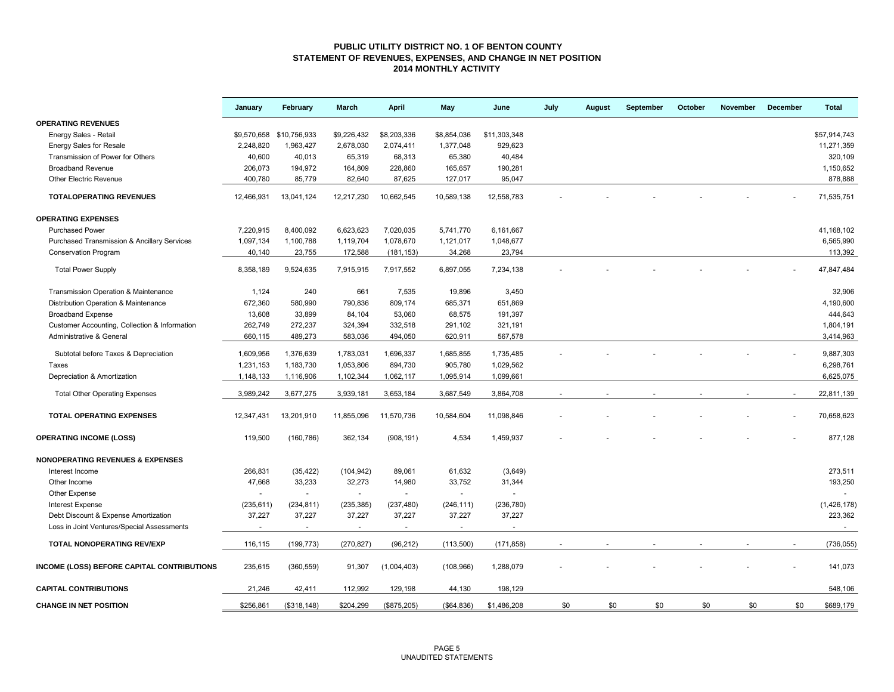#### **PUBLIC UTILITY DISTRICT NO. 1 OF BENTON COUNTY STATEMENT OF REVENUES, EXPENSES, AND CHANGE IN NET POSITION 2014 MONTHLY ACTIVITY**

|                                               | January    | February                 | March          | <b>April</b>   | May                      | June                     | July | August | September | October | November | December | <b>Total</b> |
|-----------------------------------------------|------------|--------------------------|----------------|----------------|--------------------------|--------------------------|------|--------|-----------|---------|----------|----------|--------------|
| <b>OPERATING REVENUES</b>                     |            |                          |                |                |                          |                          |      |        |           |         |          |          |              |
| Energy Sales - Retail                         |            | \$9,570,658 \$10,756,933 | \$9,226,432    | \$8,203,336    | \$8,854,036              | \$11,303,348             |      |        |           |         |          |          | \$57,914,743 |
| <b>Energy Sales for Resale</b>                | 2,248,820  | 1,963,427                | 2,678,030      | 2,074,411      | 1,377,048                | 929,623                  |      |        |           |         |          |          | 11,271,359   |
| Transmission of Power for Others              | 40,600     | 40,013                   | 65,319         | 68,313         | 65,380                   | 40,484                   |      |        |           |         |          |          | 320,109      |
| <b>Broadband Revenue</b>                      | 206,073    | 194,972                  | 164,809        | 228,860        | 165,657                  | 190,281                  |      |        |           |         |          |          | 1,150,652    |
| <b>Other Electric Revenue</b>                 | 400,780    | 85,779                   | 82,640         | 87,625         | 127,017                  | 95,047                   |      |        |           |         |          |          | 878,888      |
| <b>TOTALOPERATING REVENUES</b>                | 12,466,931 | 13,041,124               | 12,217,230     | 10,662,545     | 10,589,138               | 12,558,783               |      |        |           |         |          |          | 71,535,751   |
| <b>OPERATING EXPENSES</b>                     |            |                          |                |                |                          |                          |      |        |           |         |          |          |              |
| <b>Purchased Power</b>                        | 7,220,915  | 8,400,092                | 6,623,623      | 7,020,035      | 5,741,770                | 6,161,667                |      |        |           |         |          |          | 41,168,102   |
| Purchased Transmission & Ancillary Services   | 1,097,134  | 1,100,788                | 1,119,704      | 1,078,670      | 1,121,017                | 1,048,677                |      |        |           |         |          |          | 6,565,990    |
| <b>Conservation Program</b>                   | 40,140     | 23,755                   | 172,588        | (181, 153)     | 34,268                   | 23,794                   |      |        |           |         |          |          | 113,392      |
| <b>Total Power Supply</b>                     | 8,358,189  | 9,524,635                | 7,915,915      | 7,917,552      | 6,897,055                | 7,234,138                |      |        |           |         |          |          | 47,847,484   |
| Transmission Operation & Maintenance          | 1,124      | 240                      | 661            | 7,535          | 19,896                   | 3,450                    |      |        |           |         |          |          | 32,906       |
| Distribution Operation & Maintenance          | 672,360    | 580,990                  | 790,836        | 809,174        | 685,371                  | 651,869                  |      |        |           |         |          |          | 4,190,600    |
| <b>Broadband Expense</b>                      | 13,608     | 33,899                   | 84,104         | 53,060         | 68,575                   | 191,397                  |      |        |           |         |          |          | 444,643      |
| Customer Accounting, Collection & Information | 262,749    | 272,237                  | 324,394        | 332,518        | 291,102                  | 321,191                  |      |        |           |         |          |          | 1,804,191    |
| Administrative & General                      | 660,115    | 489,273                  | 583,036        | 494,050        | 620,911                  | 567,578                  |      |        |           |         |          |          | 3,414,963    |
|                                               |            |                          |                |                |                          |                          |      |        |           |         |          |          |              |
| Subtotal before Taxes & Depreciation          | 1,609,956  | 1,376,639                | 1,783,031      | 1,696,337      | 1,685,855                | 1,735,485                |      |        |           |         |          |          | 9,887,303    |
| Taxes                                         | 1,231,153  | 1,183,730                | 1,053,806      | 894,730        | 905,780                  | 1,029,562                |      |        |           |         |          |          | 6,298,761    |
| Depreciation & Amortization                   | 1,148,133  | 1,116,906                | 1,102,344      | 1,062,117      | 1,095,914                | 1,099,661                |      |        |           |         |          |          | 6,625,075    |
| <b>Total Other Operating Expenses</b>         | 3,989,242  | 3,677,275                | 3,939,181      | 3,653,184      | 3,687,549                | 3,864,708                |      |        |           |         |          |          | 22,811,139   |
| TOTAL OPERATING EXPENSES                      | 12,347,431 | 13,201,910               | 11,855,096     | 11,570,736     | 10,584,604               | 11,098,846               |      |        |           |         |          |          | 70,658,623   |
| <b>OPERATING INCOME (LOSS)</b>                | 119,500    | (160, 786)               | 362,134        | (908, 191)     | 4,534                    | 1,459,937                |      |        |           |         |          |          | 877,128      |
| <b>NONOPERATING REVENUES &amp; EXPENSES</b>   |            |                          |                |                |                          |                          |      |        |           |         |          |          |              |
| Interest Income                               | 266,831    | (35, 422)                | (104, 942)     | 89,061         | 61,632                   | (3,649)                  |      |        |           |         |          |          | 273,511      |
| Other Income                                  | 47,668     | 33,233                   | 32,273         | 14,980         | 33,752                   | 31,344                   |      |        |           |         |          |          | 193,250      |
| Other Expense                                 |            | $\overline{\phantom{a}}$ | $\blacksquare$ | $\blacksquare$ | $\overline{\phantom{a}}$ | $\overline{\phantom{a}}$ |      |        |           |         |          |          |              |
| <b>Interest Expense</b>                       | (235, 611) | (234, 811)               | (235, 385)     | (237, 480)     | (246, 111)               | (236, 780)               |      |        |           |         |          |          | (1,426,178)  |
| Debt Discount & Expense Amortization          | 37,227     | 37,227                   | 37,227         | 37,227         | 37,227                   | 37,227                   |      |        |           |         |          |          | 223,362      |
| Loss in Joint Ventures/Special Assessments    | $\sim$     | $\omega$                 | $\sim$         | $\sim$         | $\sim$                   | $\overline{\phantom{a}}$ |      |        |           |         |          |          | $\sim$       |
| TOTAL NONOPERATING REV/EXP                    | 116,115    | (199, 773)               | (270, 827)     | (96, 212)      | (113,500)                | (171, 858)               |      |        |           |         |          |          | (736, 055)   |
| INCOME (LOSS) BEFORE CAPITAL CONTRIBUTIONS    | 235,615    | (360, 559)               | 91,307         | (1,004,403)    | (108, 966)               | 1,288,079                |      |        |           |         |          |          | 141,073      |
| <b>CAPITAL CONTRIBUTIONS</b>                  | 21,246     | 42,411                   | 112,992        | 129,198        | 44,130                   | 198,129                  |      |        |           |         |          |          | 548,106      |
| <b>CHANGE IN NET POSITION</b>                 | \$256,861  | (\$318, 148)             | \$204,299      | (\$875,205)    | ( \$64.836)              | \$1,486,208              | \$0  | \$0    | \$0       | \$0     | \$0      | \$0      | \$689,179    |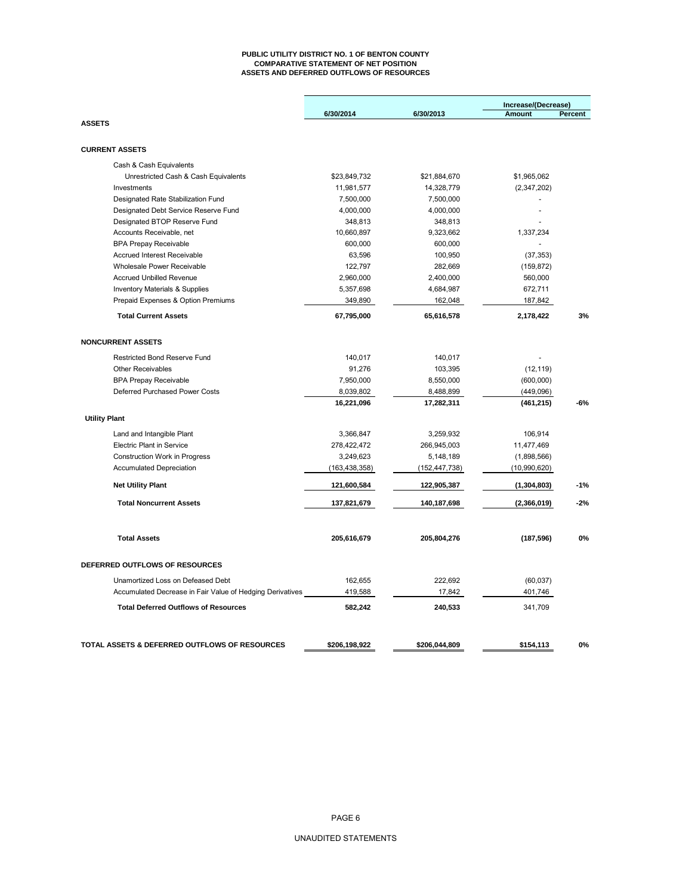#### **PUBLIC UTILITY DISTRICT NO. 1 OF BENTON COUNTY COMPARATIVE STATEMENT OF NET POSITION ASSETS AND DEFERRED OUTFLOWS OF RESOURCES**

|                                                                              |                        |                        | Increase/(Decrease) |         |
|------------------------------------------------------------------------------|------------------------|------------------------|---------------------|---------|
| <b>ASSETS</b>                                                                | 6/30/2014              | 6/30/2013              | Amount              | Percent |
|                                                                              |                        |                        |                     |         |
| <b>CURRENT ASSETS</b>                                                        |                        |                        |                     |         |
| Cash & Cash Equivalents                                                      |                        |                        |                     |         |
| Unrestricted Cash & Cash Equivalents                                         | \$23,849,732           | \$21,884,670           | \$1,965,062         |         |
| Investments                                                                  | 11,981,577             | 14,328,779             | (2,347,202)         |         |
| Designated Rate Stabilization Fund                                           | 7,500,000              | 7,500,000              |                     |         |
| Designated Debt Service Reserve Fund                                         | 4,000,000              | 4,000,000              |                     |         |
| Designated BTOP Reserve Fund                                                 | 348,813                | 348,813                |                     |         |
| Accounts Receivable, net                                                     | 10,660,897             | 9,323,662              | 1,337,234           |         |
| <b>BPA Prepay Receivable</b>                                                 | 600,000                | 600,000                |                     |         |
| <b>Accrued Interest Receivable</b>                                           | 63,596                 | 100,950                | (37, 353)           |         |
| Wholesale Power Receivable                                                   | 122,797                | 282,669                | (159, 872)          |         |
| <b>Accrued Unbilled Revenue</b><br><b>Inventory Materials &amp; Supplies</b> | 2,960,000<br>5,357,698 | 2,400,000<br>4,684,987 | 560,000<br>672,711  |         |
| Prepaid Expenses & Option Premiums                                           | 349,890                |                        |                     |         |
|                                                                              |                        | 162,048                | 187,842             |         |
| <b>Total Current Assets</b>                                                  | 67,795,000             | 65,616,578             | 2,178,422           | 3%      |
| <b>NONCURRENT ASSETS</b>                                                     |                        |                        |                     |         |
| <b>Restricted Bond Reserve Fund</b>                                          | 140,017                | 140,017                |                     |         |
| <b>Other Receivables</b>                                                     | 91,276                 | 103,395                | (12, 119)           |         |
| <b>BPA Prepay Receivable</b>                                                 | 7,950,000              | 8,550,000              | (600, 000)          |         |
| Deferred Purchased Power Costs                                               | 8,039,802              | 8,488,899              | (449,096)           |         |
|                                                                              | 16,221,096             | 17,282,311             | (461, 215)          | $-6%$   |
| <b>Utility Plant</b>                                                         |                        |                        |                     |         |
| Land and Intangible Plant                                                    | 3,366,847              | 3,259,932              | 106,914             |         |
| <b>Electric Plant in Service</b>                                             | 278,422,472            | 266,945,003            | 11,477,469          |         |
| <b>Construction Work in Progress</b>                                         | 3,249,623              | 5,148,189              | (1,898,566)         |         |
| <b>Accumulated Depreciation</b>                                              | (163, 438, 358)        | (152, 447, 738)        | (10,990,620)        |         |
| <b>Net Utility Plant</b>                                                     | 121,600,584            | 122,905,387            | (1, 304, 803)       | $-1%$   |
| <b>Total Noncurrent Assets</b>                                               | 137,821,679            | 140,187,698            | (2,366,019)         | $-2%$   |
|                                                                              |                        |                        |                     |         |
| <b>Total Assets</b>                                                          | 205,616,679            | 205,804,276            | (187, 596)          | 0%      |
| DEFERRED OUTFLOWS OF RESOURCES                                               |                        |                        |                     |         |
| Unamortized Loss on Defeased Debt                                            | 162,655                | 222,692                | (60, 037)           |         |
| Accumulated Decrease in Fair Value of Hedging Derivatives                    | 419,588                | 17,842                 | 401,746             |         |
| <b>Total Deferred Outflows of Resources</b>                                  | 582,242                | 240,533                | 341,709             |         |
|                                                                              |                        |                        |                     |         |
| TOTAL ASSETS & DEFERRED OUTFLOWS OF RESOURCES                                | \$206,198,922          | \$206,044,809          | \$154,113           | 0%      |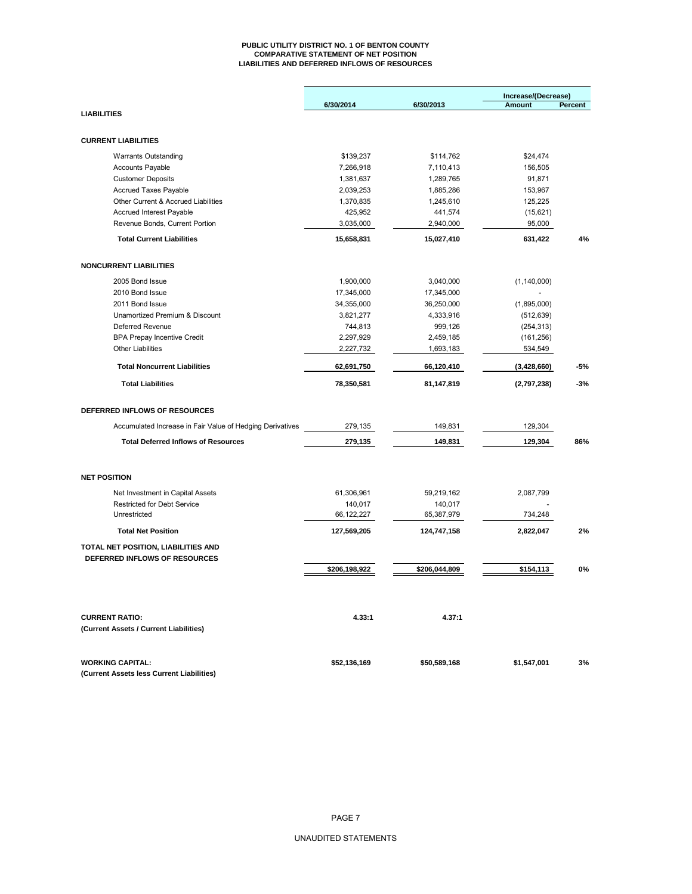#### **PUBLIC UTILITY DISTRICT NO. 1 OF BENTON COUNTY COMPARATIVE STATEMENT OF NET POSITION LIABILITIES AND DEFERRED INFLOWS OF RESOURCES**

|                                                           |               |               | Increase/(Decrease) |                |
|-----------------------------------------------------------|---------------|---------------|---------------------|----------------|
|                                                           | 6/30/2014     | 6/30/2013     | <b>Amount</b>       | <b>Percent</b> |
| <b>LIABILITIES</b>                                        |               |               |                     |                |
|                                                           |               |               |                     |                |
| <b>CURRENT LIABILITIES</b>                                |               |               |                     |                |
| <b>Warrants Outstanding</b>                               | \$139,237     | \$114,762     | \$24,474            |                |
| <b>Accounts Payable</b>                                   | 7,266,918     | 7,110,413     | 156,505             |                |
| <b>Customer Deposits</b>                                  | 1,381,637     | 1,289,765     | 91,871              |                |
| <b>Accrued Taxes Payable</b>                              | 2,039,253     | 1,885,286     | 153,967             |                |
| Other Current & Accrued Liabilities                       | 1,370,835     | 1,245,610     | 125,225             |                |
| <b>Accrued Interest Payable</b>                           | 425,952       | 441,574       | (15,621)            |                |
| Revenue Bonds, Current Portion                            | 3,035,000     | 2,940,000     | 95,000              |                |
| <b>Total Current Liabilities</b>                          | 15,658,831    | 15,027,410    | 631,422             | 4%             |
| <b>NONCURRENT LIABILITIES</b>                             |               |               |                     |                |
| 2005 Bond Issue                                           | 1,900,000     | 3,040,000     | (1, 140, 000)       |                |
| 2010 Bond Issue                                           | 17,345,000    | 17,345,000    |                     |                |
| 2011 Bond Issue                                           | 34,355,000    | 36,250,000    | (1,895,000)         |                |
| Unamortized Premium & Discount                            | 3,821,277     | 4,333,916     | (512, 639)          |                |
| Deferred Revenue                                          | 744,813       | 999,126       | (254, 313)          |                |
| <b>BPA Prepay Incentive Credit</b>                        | 2,297,929     | 2,459,185     | (161, 256)          |                |
| <b>Other Liabilities</b>                                  | 2,227,732     | 1,693,183     | 534,549             |                |
| <b>Total Noncurrent Liabilities</b>                       | 62,691,750    | 66,120,410    | (3, 428, 660)       | -5%            |
| <b>Total Liabilities</b>                                  | 78,350,581    | 81,147,819    | (2,797,238)         | $-3%$          |
| DEFERRED INFLOWS OF RESOURCES                             |               |               |                     |                |
| Accumulated Increase in Fair Value of Hedging Derivatives | 279,135       | 149,831       | 129,304             |                |
| <b>Total Deferred Inflows of Resources</b>                | 279,135       | 149,831       | 129,304             | 86%            |
|                                                           |               |               |                     |                |
| <b>NET POSITION</b>                                       |               |               |                     |                |
| Net Investment in Capital Assets                          | 61,306,961    | 59,219,162    | 2,087,799           |                |
| <b>Restricted for Debt Service</b>                        | 140,017       | 140,017       |                     |                |
| Unrestricted                                              | 66,122,227    | 65,387,979    | 734,248             |                |
| <b>Total Net Position</b>                                 | 127,569,205   | 124,747,158   | 2,822,047           | 2%             |
| TOTAL NET POSITION, LIABILITIES AND                       |               |               |                     |                |
| DEFERRED INFLOWS OF RESOURCES                             |               |               |                     |                |
|                                                           | \$206,198,922 | \$206,044,809 | \$154,113           | 0%             |
|                                                           |               |               |                     |                |
| <b>CURRENT RATIO:</b>                                     | 4.33:1        | 4.37:1        |                     |                |
| (Current Assets / Current Liabilities)                    |               |               |                     |                |
| <b>WORKING CAPITAL:</b>                                   | \$52,136,169  | \$50,589,168  | \$1,547,001         | 3%             |
| (Current Assets less Current Liabilities)                 |               |               |                     |                |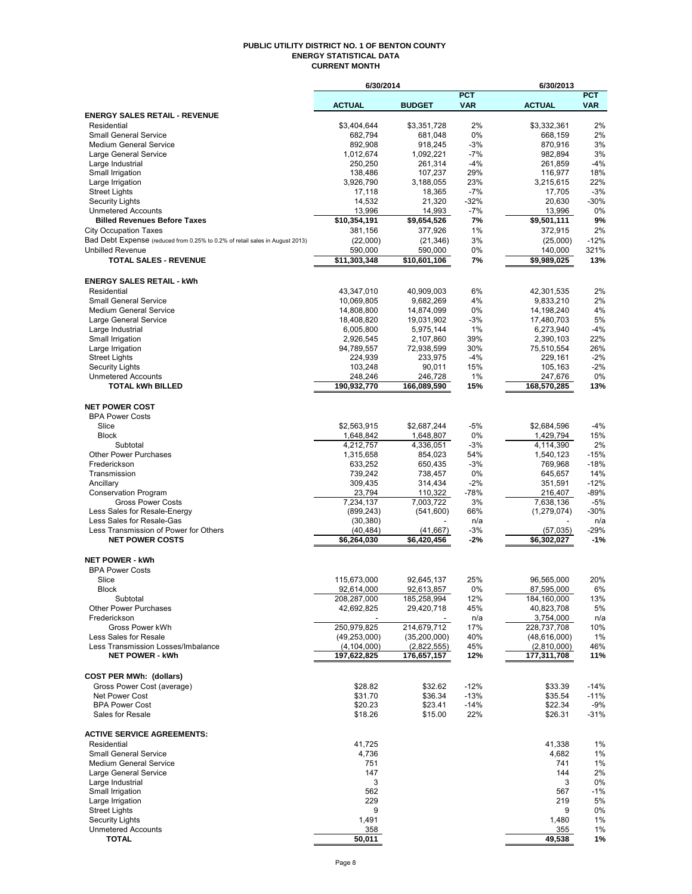#### **PUBLIC UTILITY DISTRICT NO. 1 OF BENTON COUNTY ENERGY STATISTICAL DATA CURRENT MONTH**

|                                                                              | 6/30/2014                 |                           |              | 6/30/2013                |                 |
|------------------------------------------------------------------------------|---------------------------|---------------------------|--------------|--------------------------|-----------------|
|                                                                              |                           |                           | <b>PCT</b>   |                          | <b>PCT</b>      |
| <b>ENERGY SALES RETAIL - REVENUE</b>                                         | <b>ACTUAL</b>             | <b>BUDGET</b>             | <b>VAR</b>   | <b>ACTUAL</b>            | <b>VAR</b>      |
| Residential                                                                  | \$3,404,644               | \$3,351,728               | 2%           | \$3,332,361              | 2%              |
| <b>Small General Service</b>                                                 | 682,794                   | 681,048                   | 0%           | 668,159                  | 2%              |
| <b>Medium General Service</b>                                                | 892,908                   | 918,245                   | $-3%$        | 870,916                  | 3%              |
| Large General Service                                                        | 1,012,674                 | 1,092,221                 | $-7%$        | 982.894                  | 3%              |
| Large Industrial<br>Small Irrigation                                         | 250,250<br>138,486        | 261,314<br>107,237        | $-4%$<br>29% | 261,859                  | $-4%$<br>18%    |
| Large Irrigation                                                             | 3,926,790                 | 3,188,055                 | 23%          | 116,977<br>3,215,615     | 22%             |
| <b>Street Lights</b>                                                         | 17,118                    | 18,365                    | $-7%$        | 17,705                   | $-3%$           |
| <b>Security Lights</b>                                                       | 14,532                    | 21,320                    | $-32%$       | 20.630                   | $-30%$          |
| <b>Unmetered Accounts</b>                                                    | 13,996                    | 14,993                    | $-7%$        | 13,996                   | 0%              |
| <b>Billed Revenues Before Taxes</b>                                          | \$10,354,191              | \$9,654,526               | 7%           | \$9,501,111              | 9%              |
| <b>City Occupation Taxes</b>                                                 | 381,156                   | 377,926                   | 1%           | 372,915                  | 2%              |
| Bad Debt Expense (reduced from 0.25% to 0.2% of retail sales in August 2013) | (22,000)                  | (21, 346)                 | 3%           | (25,000)                 | $-12%$          |
| <b>Unbilled Revenue</b><br><b>TOTAL SALES - REVENUE</b>                      | 590,000<br>\$11,303,348   | 590,000<br>\$10,601,106   | 0%<br>7%     | 140,000<br>\$9,989,025   | 321%<br>13%     |
|                                                                              |                           |                           |              |                          |                 |
| <b>ENERGY SALES RETAIL - kWh</b>                                             |                           |                           |              |                          |                 |
| Residential                                                                  | 43,347,010                | 40,909,003                | 6%           | 42,301,535               | 2%              |
| <b>Small General Service</b>                                                 | 10,069,805                | 9,682,269                 | 4%           | 9,833,210                | 2%              |
| <b>Medium General Service</b>                                                | 14,808,800                | 14,874,099                | 0%           | 14,198,240               | 4%              |
| Large General Service                                                        | 18.408.820                | 19,031,902                | $-3%$        | 17,480,703               | 5%              |
| Large Industrial                                                             | 6,005,800                 | 5,975,144                 | 1%           | 6,273,940                | $-4%$           |
| Small Irrigation                                                             | 2,926,545                 | 2,107,860                 | 39%          | 2,390,103                | 22%             |
| Large Irrigation<br><b>Street Lights</b>                                     | 94,789,557<br>224,939     | 72,938,599<br>233,975     | 30%<br>$-4%$ | 75,510,554<br>229,161    | 26%<br>$-2%$    |
| Security Lights                                                              | 103,248                   | 90,011                    | 15%          | 105,163                  | $-2%$           |
| <b>Unmetered Accounts</b>                                                    | 248,246                   | 246,728                   | 1%           | 247,676                  | 0%              |
| <b>TOTAL kWh BILLED</b>                                                      | 190,932,770               | 166,089,590               | 15%          | 168,570,285              | 13%             |
|                                                                              |                           |                           |              |                          |                 |
| <b>NET POWER COST</b>                                                        |                           |                           |              |                          |                 |
| <b>BPA Power Costs</b>                                                       |                           |                           |              |                          |                 |
| Slice<br><b>Block</b>                                                        | \$2,563,915<br>1,648,842  | \$2,687,244<br>1,648,807  | $-5%$<br>0%  | \$2,684,596<br>1,429,794 | $-4%$<br>15%    |
| Subtotal                                                                     | 4,212,757                 | 4,336,051                 | $-3%$        | 4,114,390                | 2%              |
| <b>Other Power Purchases</b>                                                 | 1,315,658                 | 854,023                   | 54%          | 1,540,123                | $-15%$          |
| Frederickson                                                                 | 633,252                   | 650,435                   | $-3%$        | 769,968                  | $-18%$          |
| Transmission                                                                 | 739,242                   | 738,457                   | 0%           | 645,657                  | 14%             |
| Ancillary                                                                    | 309,435                   | 314,434                   | $-2\%$       | 351,591                  | $-12%$          |
| <b>Conservation Program</b>                                                  | 23,794                    | 110,322                   | $-78%$       | 216,407                  | $-89%$          |
| <b>Gross Power Costs</b>                                                     | 7,234,137                 | 7,003,722                 | 3%           | 7,638,136                | $-5%$<br>$-30%$ |
| Less Sales for Resale-Energy<br>Less Sales for Resale-Gas                    | (899, 243)<br>(30, 380)   | (541,600)                 | 66%<br>n/a   | (1,279,074)              | n/a             |
| Less Transmission of Power for Others                                        | (40, 484)                 | (41, 667)                 | -3%          | (57, 035)                | -29%            |
| <b>NET POWER COSTS</b>                                                       | \$6,264,030               | \$6.420.456               | $-2%$        | \$6,302,027              | $-1%$           |
|                                                                              |                           |                           |              |                          |                 |
| <b>NET POWER - kWh</b>                                                       |                           |                           |              |                          |                 |
| <b>BPA Power Costs</b>                                                       |                           |                           |              |                          |                 |
| Slice<br><b>Block</b>                                                        | 115,673,000<br>92,614,000 | 92,645,137                | 25%          | 96,565,000<br>87,595,000 | 20%<br>6%       |
| Subtotal                                                                     | 208,287,000               | 92,613,857<br>185,258,994 | 0%<br>12%    | 184,160,000              | 13%             |
| <b>Other Power Purchases</b>                                                 | 42,692,825                | 29,420,718                | 45%          | 40,823,708               | 5%              |
| Frederickson                                                                 |                           |                           | n/a          | 3,754,000                | n/a             |
| Gross Power kWh                                                              | 250,979,825               | 214,679,712               | 17%          | 228,737,708              | 10%             |
| Less Sales for Resale                                                        | (49, 253, 000)            | (35, 200, 000)            | 40%          | (48, 616, 000)           | 1%              |
| Less Transmission Losses/Imbalance                                           | (4, 104, 000)             | (2,822,555)               | 45%          | (2,810,000)              | 46%             |
| <b>NET POWER - kWh</b>                                                       | 197,622,825               | 176,657,157               | 12%          | 177,311,708              | 11%             |
| <b>COST PER MWh: (dollars)</b>                                               |                           |                           |              |                          |                 |
| Gross Power Cost (average)                                                   | \$28.82                   | \$32.62                   | $-12%$       | \$33.39                  | $-14%$          |
| Net Power Cost                                                               | \$31.70                   | \$36.34                   | $-13%$       | \$35.54                  | $-11%$          |
| <b>BPA Power Cost</b>                                                        | \$20.23                   | \$23.41                   | $-14%$       | \$22.34                  | $-9%$           |
| Sales for Resale                                                             | \$18.26                   | \$15.00                   | 22%          | \$26.31                  | $-31%$          |
|                                                                              |                           |                           |              |                          |                 |
| <b>ACTIVE SERVICE AGREEMENTS:</b>                                            |                           |                           |              |                          |                 |
| Residential<br><b>Small General Service</b>                                  | 41,725<br>4,736           |                           |              | 41,338<br>4,682          | 1%<br>1%        |
| <b>Medium General Service</b>                                                | 751                       |                           |              | 741                      | 1%              |
| Large General Service                                                        | 147                       |                           |              | 144                      | 2%              |
| Large Industrial                                                             | 3                         |                           |              | 3                        | 0%              |
| Small Irrigation                                                             | 562                       |                           |              | 567                      | $-1%$           |
| Large Irrigation                                                             | 229                       |                           |              | 219                      | 5%              |
| <b>Street Lights</b>                                                         | 9                         |                           |              | 9                        | 0%              |
| <b>Security Lights</b><br><b>Unmetered Accounts</b>                          | 1,491<br>358              |                           |              | 1,480<br>355             | 1%<br>1%        |
| <b>TOTAL</b>                                                                 | 50,011                    |                           |              | 49,538                   | 1%              |
|                                                                              |                           |                           |              |                          |                 |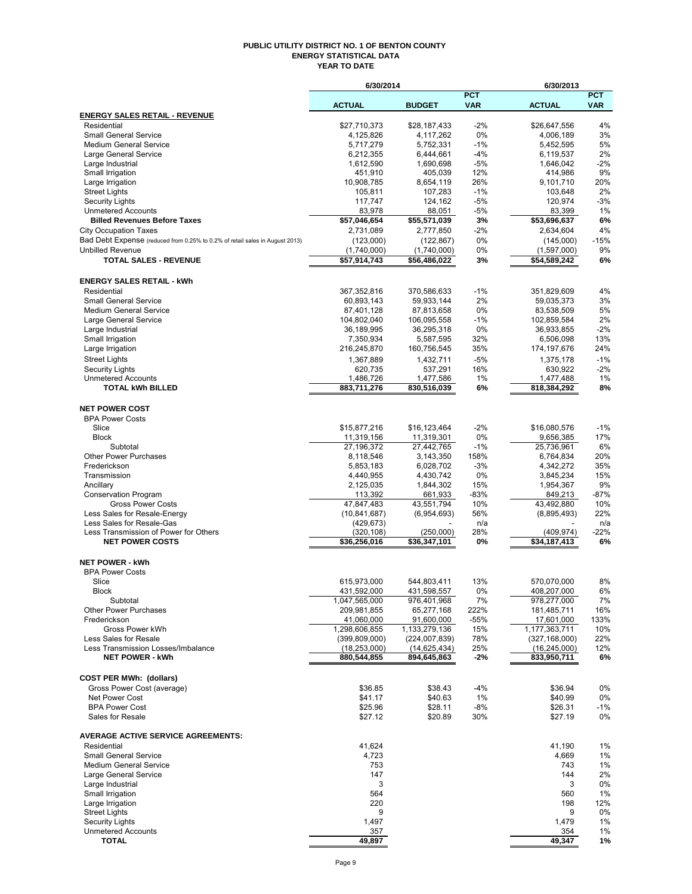#### **PUBLIC UTILITY DISTRICT NO. 1 OF BENTON COUNTY ENERGY STATISTICAL DATA YEAR TO DATE**

|                                                                              | 6/30/2014                 |                           |                          | 6/30/2013                 |                          |
|------------------------------------------------------------------------------|---------------------------|---------------------------|--------------------------|---------------------------|--------------------------|
|                                                                              | <b>ACTUAL</b>             | <b>BUDGET</b>             | <b>PCT</b><br><b>VAR</b> | <b>ACTUAL</b>             | <b>PCT</b><br><b>VAR</b> |
| <b>ENERGY SALES RETAIL - REVENUE</b>                                         |                           |                           |                          |                           |                          |
| Residential                                                                  | \$27,710,373              | \$28,187,433              | $-2%$                    | \$26,647,556              | 4%                       |
| <b>Small General Service</b>                                                 | 4,125,826                 | 4,117,262                 | 0%                       | 4,006,189                 | 3%                       |
| <b>Medium General Service</b>                                                | 5,717,279<br>6.212.355    | 5,752,331                 | $-1%$                    | 5.452.595                 | 5%<br>2%                 |
| Large General Service<br>Large Industrial                                    | 1,612,590                 | 6,444,661<br>1,690,698    | $-4%$<br>$-5%$           | 6,119,537<br>1,646,042    | $-2%$                    |
| Small Irrigation                                                             | 451,910                   | 405,039                   | 12%                      | 414,986                   | 9%                       |
| Large Irrigation                                                             | 10,908,785                | 8,654,119                 | 26%                      | 9,101,710                 | 20%                      |
| Street Lights                                                                | 105,811                   | 107,283                   | $-1%$                    | 103,648                   | 2%                       |
| <b>Security Lights</b><br><b>Unmetered Accounts</b>                          | 117,747                   | 124,162                   | $-5%$                    | 120,974                   | $-3%$                    |
| <b>Billed Revenues Before Taxes</b>                                          | 83,978<br>\$57,046,654    | 88,051<br>\$55,571,039    | $-5%$<br>3%              | 83,399<br>\$53,696,637    | 1%<br>6%                 |
| <b>City Occupation Taxes</b>                                                 | 2,731,089                 | 2,777,850                 | $-2\%$                   | 2,634,604                 | 4%                       |
| Bad Debt Expense (reduced from 0.25% to 0.2% of retail sales in August 2013) | (123,000)                 | (122, 867)                | 0%                       | (145,000)                 | $-15%$                   |
| <b>Unbilled Revenue</b>                                                      | (1,740,000)               | (1,740,000)               | 0%                       | (1,597,000)               | 9%                       |
| <b>TOTAL SALES - REVENUE</b>                                                 | \$57,914,743              | \$56,486,022              | 3%                       | \$54,589,242              | 6%                       |
| <b>ENERGY SALES RETAIL - kWh</b>                                             |                           |                           |                          |                           |                          |
| Residential                                                                  | 367,352,816               | 370,586,633               | $-1%$                    | 351,829,609               | 4%                       |
| <b>Small General Service</b>                                                 | 60,893,143                | 59,933,144                | 2%                       | 59,035,373                | 3%                       |
| <b>Medium General Service</b>                                                | 87,401,128                | 87,813,658                | 0%                       | 83,538,509                | 5%                       |
| Large General Service<br>Large Industrial                                    | 104,802,040<br>36,189,995 | 106,095,558<br>36,295,318 | $-1%$<br>0%              | 102,859,584               | 2%<br>$-2%$              |
| Small Irrigation                                                             | 7,350,934                 | 5,587,595                 | 32%                      | 36,933,855<br>6,506,098   | 13%                      |
| Large Irrigation                                                             | 216,245,870               | 160,756,545               | 35%                      | 174, 197, 676             | 24%                      |
| <b>Street Lights</b>                                                         | 1,367,889                 | 1,432,711                 | $-5%$                    | 1,375,178                 | $-1%$                    |
| Security Lights                                                              | 620.735                   | 537,291                   | 16%                      | 630,922                   | $-2%$                    |
| <b>Unmetered Accounts</b>                                                    | 1,486,726                 | 1,477,586                 | $1\%$                    | 1,477,488                 | 1%                       |
| <b>TOTAL kWh BILLED</b>                                                      | 883,711,276               | 830,516,039               | 6%                       | 818,384,292               | 8%                       |
| <b>NET POWER COST</b>                                                        |                           |                           |                          |                           |                          |
| <b>BPA Power Costs</b>                                                       |                           |                           |                          |                           |                          |
| Slice                                                                        | \$15,877,216              | \$16,123,464              | $-2%$                    | \$16,080,576              | $-1%$                    |
| <b>Block</b>                                                                 | 11,319,156                | 11,319,301                | 0%                       | 9,656,385                 | 17%                      |
| Subtotal<br><b>Other Power Purchases</b>                                     | 27,196,372<br>8,118,546   | 27,442,765<br>3,143,350   | $-1%$<br>158%            | 25,736,961<br>6,764,834   | 6%<br>20%                |
| Frederickson                                                                 | 5,853,183                 | 6,028,702                 | $-3%$                    | 4,342,272                 | 35%                      |
| Transmission                                                                 | 4,440,955                 | 4,430,742                 | 0%                       | 3,845,234                 | 15%                      |
| Ancillary                                                                    | 2,125,035                 | 1,844,302                 | 15%                      | 1,954,367                 | 9%                       |
| <b>Conservation Program</b>                                                  | 113,392                   | 661,933                   | $-83%$                   | 849,213                   | -87%                     |
| <b>Gross Power Costs</b>                                                     | 47,847,483                | 43,551,794                | 10%                      | 43,492,880                | 10%                      |
| Less Sales for Resale-Energy                                                 | (10, 841, 687)            | (6,954,693)               | 56%                      | (8,895,493)               | 22%                      |
| Less Sales for Resale-Gas<br>Less Transmission of Power for Others           | (429, 673)<br>(320, 108)  | (250,000)                 | n/a<br>28%               | (409, 974)                | n/a<br>$-22%$            |
| <b>NET POWER COSTS</b>                                                       | \$36,256,016              | \$36,347,101              | 0%                       | \$34,187,413              | 6%                       |
| <b>NET POWER - kWh</b>                                                       |                           |                           |                          |                           |                          |
| <b>BPA Power Costs</b>                                                       |                           |                           |                          |                           |                          |
| Slice                                                                        | 615,973,000               | 544,803,411               | 13%                      | 570,070,000               | 8%                       |
| Block                                                                        | 431,592,000               | 431,598,557               | $0\%$                    | 408,207,000               | 6%                       |
| Subtotal                                                                     | 1,047,565,000             | 976,401,968               | 7%                       | 978,277,000               | 7%                       |
| <b>Other Power Purchases</b><br>Frederickson                                 | 209,981,855<br>41,060,000 | 65,277,168<br>91,600,000  | 222%<br>$-55%$           | 181,485,711<br>17,601,000 | 16%<br>133%              |
| Gross Power kWh                                                              | 1,298,606,855             | 1,133,279,136             | 15%                      | 1,177,363,711             | 10%                      |
| Less Sales for Resale                                                        | (399, 809, 000)           | (224,007,839)             | 78%                      | (327, 168, 000)           | 22%                      |
| Less Transmission Losses/Imbalance                                           | (18, 253, 000)            | (14, 625, 434)            | 25%                      | (16, 245, 000)            | 12%                      |
| <b>NET POWER - kWh</b>                                                       | 880,544,855               | 894,645,863               | $-2%$                    | 833,950,711               | 6%                       |
| <b>COST PER MWh: (dollars)</b>                                               |                           |                           |                          |                           |                          |
| Gross Power Cost (average)                                                   | \$36.85                   | \$38.43                   | -4%                      | \$36.94                   | 0%                       |
| Net Power Cost                                                               | \$41.17                   | \$40.63                   | 1%                       | \$40.99                   | 0%                       |
| <b>BPA Power Cost</b><br>Sales for Resale                                    | \$25.96<br>\$27.12        | \$28.11<br>\$20.89        | -8%<br>30%               | \$26.31<br>\$27.19        | $-1%$<br>0%              |
|                                                                              |                           |                           |                          |                           |                          |
| <b>AVERAGE ACTIVE SERVICE AGREEMENTS:</b><br>Residential                     | 41,624                    |                           |                          | 41,190                    | 1%                       |
| <b>Small General Service</b>                                                 | 4,723                     |                           |                          | 4,669                     | 1%                       |
| <b>Medium General Service</b>                                                | 753                       |                           |                          | 743                       | 1%                       |
| Large General Service                                                        | 147                       |                           |                          | 144                       | 2%                       |
| Large Industrial                                                             | 3                         |                           |                          | 3                         | 0%                       |
| Small Irrigation                                                             | 564                       |                           |                          | 560                       | 1%                       |
| Large Irrigation                                                             | 220                       |                           |                          | 198                       | 12%                      |
| <b>Street Lights</b><br>Security Lights                                      | 9<br>1,497                |                           |                          | 9<br>1,479                | 0%<br>1%                 |
| <b>Unmetered Accounts</b>                                                    | 357                       |                           |                          | 354                       | 1%                       |
| <b>TOTAL</b>                                                                 | 49,897                    |                           |                          | 49,347                    | 1%                       |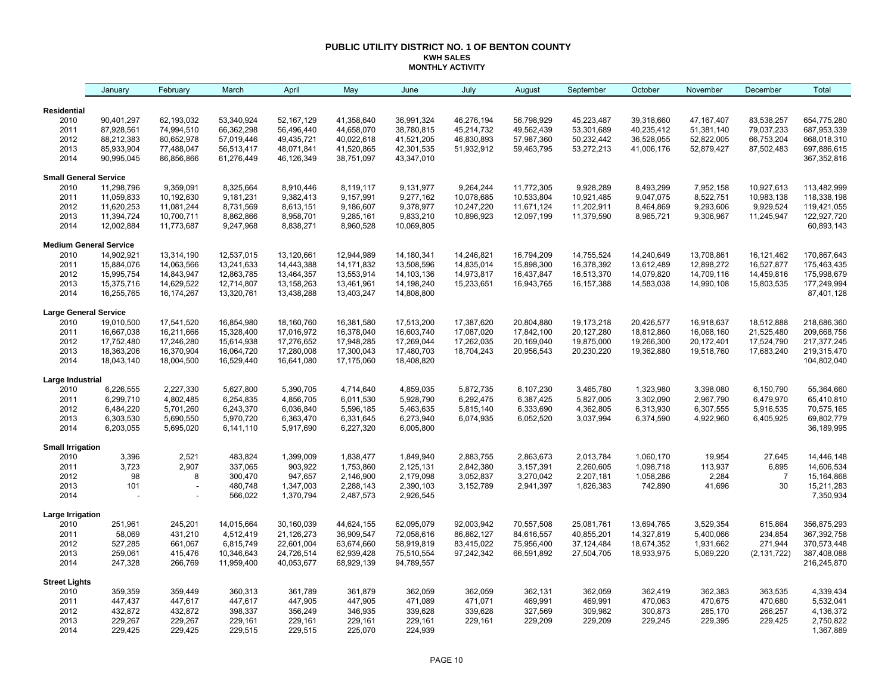#### **PUBLIC UTILITY DISTRICT NO. 1 OF BENTON COUNTY KWH SALES MONTHLY ACTIVITY**

|                               | January                | February               | March                  | April                  | May                    | June                   | July       | August     | September    | October    | November     | December       | Total                    |
|-------------------------------|------------------------|------------------------|------------------------|------------------------|------------------------|------------------------|------------|------------|--------------|------------|--------------|----------------|--------------------------|
|                               |                        |                        |                        |                        |                        |                        |            |            |              |            |              |                |                          |
| Residential<br>2010           | 90,401,297             | 62,193,032             | 53,340,924             | 52,167,129             | 41,358,640             | 36,991,324             | 46,276,194 | 56,798,929 | 45,223,487   | 39,318,660 | 47, 167, 407 | 83,538,257     | 654,775,280              |
| 2011                          | 87,928,561             | 74,994,510             | 66,362,298             | 56,496,440             | 44,658,070             | 38,780,815             | 45,214,732 | 49,562,439 | 53,301,689   | 40,235,412 | 51,381,140   | 79,037,233     | 687,953,339              |
| 2012                          | 88,212,383             | 80,652,978             | 57,019,446             | 49,435,721             | 40,022,618             | 41,521,205             | 46,830,893 | 57,987,360 | 50,232,442   | 36,528,055 | 52,822,005   | 66,753,204     | 668,018,310              |
| 2013                          | 85,933,904             | 77,488,047             | 56,513,417             | 48,071,841             | 41,520,865             | 42,301,535             | 51,932,912 | 59,463,795 | 53,272,213   | 41,006,176 | 52,879,427   | 87,502,483     | 697,886,615              |
| 2014                          | 90,995,045             | 86,856,866             | 61,276,449             | 46,126,349             | 38,751,097             | 43,347,010             |            |            |              |            |              |                | 367,352,816              |
| <b>Small General Service</b>  |                        |                        |                        |                        |                        |                        |            |            |              |            |              |                |                          |
| 2010                          | 11,298,796             | 9,359,091              | 8,325,664              | 8,910,446              | 8,119,117              | 9,131,977              | 9,264,244  | 11,772,305 | 9,928,289    | 8,493,299  | 7,952,158    | 10,927,613     | 113,482,999              |
| 2011                          | 11,059,833             | 10,192,630             | 9,181,231              | 9,382,413              | 9,157,991              | 9,277,162              | 10,078,685 | 10,533,804 | 10,921,485   | 9,047,075  | 8,522,751    | 10,983,138     | 118,338,198              |
| 2012                          | 11,620,253             | 11,081,244             | 8,731,569              | 8,613,151              | 9,186,607              | 9,378,977              | 10,247,220 | 11,671,124 | 11,202,911   | 8,464,869  | 9,293,606    | 9,929,524      | 119,421,055              |
| 2013                          | 11,394,724             | 10,700,711             | 8,862,866              | 8,958,701              | 9,285,161              | 9,833,210              | 10,896,923 | 12,097,199 | 11,379,590   | 8,965,721  | 9,306,967    | 11,245,947     | 122,927,720              |
| 2014                          | 12,002,884             | 11,773,687             | 9,247,968              | 8,838,271              | 8,960,528              | 10,069,805             |            |            |              |            |              |                | 60,893,143               |
| <b>Medium General Service</b> |                        |                        |                        |                        |                        |                        |            |            |              |            |              |                |                          |
| 2010                          | 14,902,921             | 13,314,190             | 12,537,015             | 13,120,661             | 12,944,989             | 14,180,341             | 14,246,821 | 16,794,209 | 14,755,524   | 14,240,649 | 13,708,861   | 16,121,462     | 170,867,643              |
| 2011                          | 15,884,076             | 14,063,566             | 13,241,633             | 14,443,388             | 14, 171, 832           | 13,508,596             | 14,835,014 | 15,898,300 | 16,378,392   | 13,612,489 | 12,898,272   | 16,527,877     | 175,463,435              |
| 2012                          | 15,995,754             | 14,843,947             | 12,863,785             | 13,464,357             | 13,553,914             | 14,103,136             | 14,973,817 | 16,437,847 | 16,513,370   | 14,079,820 | 14,709,116   | 14,459,816     | 175,998,679              |
| 2013                          | 15,375,716             | 14,629,522             | 12,714,807             | 13,158,263             | 13,461,961             | 14,198,240             | 15,233,651 | 16,943,765 | 16, 157, 388 | 14,583,038 | 14,990,108   | 15,803,535     | 177,249,994              |
| 2014                          | 16,255,765             | 16,174,267             | 13,320,761             | 13,438,288             | 13,403,247             | 14,808,800             |            |            |              |            |              |                | 87,401,128               |
| Large General Service         |                        |                        |                        |                        |                        |                        |            |            |              |            |              |                |                          |
| 2010                          | 19,010,500             | 17,541,520             | 16,854,980             | 18,160,760             | 16,381,580             | 17,513,200             | 17,387,620 | 20,804,880 | 19,173,218   | 20,426,577 | 16,918,637   | 18,512,888     | 218,686,360              |
| 2011                          | 16,667,038             | 16,211,666             | 15,328,400             | 17,016,972             | 16,378,040             | 16,603,740             | 17,087,020 | 17,842,100 | 20,127,280   | 18,812,860 | 16,068,160   | 21,525,480     | 209,668,756              |
| 2012                          | 17,752,480             | 17,246,280             | 15,614,938             | 17,276,652             | 17,948,285             | 17,269,044             | 17,262,035 | 20,169,040 | 19,875,000   | 19,266,300 | 20,172,401   | 17,524,790     | 217,377,245              |
| 2013                          | 18,363,206             | 16,370,904             | 16,064,720             | 17,280,008             | 17,300,043             | 17,480,703             | 18,704,243 | 20,956,543 | 20,230,220   | 19,362,880 | 19,518,760   | 17,683,240     | 219,315,470              |
| 2014                          | 18,043,140             | 18,004,500             | 16,529,440             | 16,641,080             | 17,175,060             | 18,408,820             |            |            |              |            |              |                | 104,802,040              |
| Large Industrial              |                        |                        |                        |                        |                        |                        |            |            |              |            |              |                |                          |
| 2010                          | 6,226,555              | 2,227,330              | 5,627,800              | 5,390,705              | 4,714,640              | 4,859,035              | 5,872,735  | 6,107,230  | 3,465,780    | 1,323,980  | 3,398,080    | 6,150,790      | 55,364,660               |
| 2011                          | 6,299,710              | 4,802,485              | 6,254,835              | 4,856,705              | 6,011,530              | 5,928,790              | 6,292,475  | 6,387,425  | 5,827,005    | 3,302,090  | 2,967,790    | 6,479,970      | 65,410,810               |
| 2012                          | 6,484,220              | 5,701,260              | 6,243,370              | 6,036,840              | 5,596,185              | 5,463,635              | 5,815,140  | 6,333,690  | 4,362,805    | 6,313,930  | 6,307,555    | 5,916,535      | 70,575,165               |
| 2013<br>2014                  | 6,303,530<br>6,203,055 | 5,690,550<br>5,695,020 | 5,970,720<br>6,141,110 | 6,363,470<br>5,917,690 | 6,331,645<br>6,227,320 | 6,273,940<br>6,005,800 | 6,074,935  | 6,052,520  | 3,037,994    | 6,374,590  | 4,922,960    | 6,405,925      | 69,802,779<br>36,189,995 |
| <b>Small Irrigation</b>       |                        |                        |                        |                        |                        |                        |            |            |              |            |              |                |                          |
| 2010                          | 3,396                  | 2,521                  | 483,824                | 1,399,009              | 1,838,477              | 1,849,940              | 2,883,755  | 2,863,673  | 2,013,784    | 1,060,170  | 19,954       | 27,645         | 14,446,148               |
| 2011                          | 3,723                  | 2,907                  | 337,065                | 903,922                | 1,753,860              | 2,125,131              | 2,842,380  | 3,157,391  | 2,260,605    | 1,098,718  | 113,937      | 6,895          | 14,606,534               |
| 2012                          | 98                     | 8                      | 300,470                | 947,657                | 2,146,900              | 2,179,098              | 3,052,837  | 3,270,042  | 2,207,181    | 1,058,286  | 2,284        | $\overline{7}$ | 15,164,868               |
| 2013                          | 101                    |                        | 480,748                | 1,347,003              | 2,288,143              | 2,390,103              | 3,152,789  | 2,941,397  | 1,826,383    | 742,890    | 41,696       | 30             | 15,211,283               |
| 2014                          |                        |                        | 566,022                | 1,370,794              | 2,487,573              | 2,926,545              |            |            |              |            |              |                | 7,350,934                |
| Large Irrigation              |                        |                        |                        |                        |                        |                        |            |            |              |            |              |                |                          |
| 2010                          | 251,961                | 245,201                | 14,015,664             | 30,160,039             | 44,624,155             | 62,095,079             | 92,003,942 | 70,557,508 | 25,081,761   | 13,694,765 | 3,529,354    | 615,864        | 356,875,293              |
| 2011                          | 58,069                 | 431,210                | 4,512,419              | 21,126,273             | 36,909,547             | 72,058,616             | 86,862,127 | 84,616,557 | 40,855,201   | 14,327,819 | 5,400,066    | 234,854        | 367,392,758              |
| 2012                          | 527,285                | 661,067                | 6,815,749              | 22,601,004             | 63,674,660             | 58,919,819             | 83,415,022 | 75,956,400 | 37,124,484   | 18,674,352 | 1,931,662    | 271,944        | 370,573,448              |
| 2013                          | 259,061                | 415,476                | 10,346,643             | 24,726,514             | 62,939,428             | 75,510,554             | 97,242,342 | 66,591,892 | 27,504,705   | 18,933,975 | 5,069,220    | (2, 131, 722)  | 387,408,088              |
| 2014                          | 247,328                | 266,769                | 11,959,400             | 40,053,677             | 68,929,139             | 94,789,557             |            |            |              |            |              |                | 216,245,870              |
| <b>Street Lights</b>          |                        |                        |                        |                        |                        |                        |            |            |              |            |              |                |                          |
| 2010                          | 359,359                | 359,449                | 360,313                | 361,789                | 361,879                | 362,059                | 362,059    | 362,131    | 362,059      | 362,419    | 362,383      | 363,535        | 4,339,434                |
| 2011                          | 447,437                | 447,617                | 447,617                | 447,905                | 447,905                | 471,089                | 471,071    | 469,991    | 469,991      | 470,063    | 470,675      | 470,680        | 5,532,041                |
| 2012                          | 432,872                | 432,872                | 398,337                | 356,249                | 346,935                | 339,628                | 339,628    | 327,569    | 309,982      | 300,873    | 285,170      | 266,257        | 4,136,372                |
| 2013                          | 229,267                | 229,267                | 229,161                | 229,161                | 229,161                | 229,161                | 229,161    | 229,209    | 229,209      | 229,245    | 229,395      | 229,425        | 2,750,822                |
| 2014                          | 229,425                | 229,425                | 229,515                | 229,515                | 225,070                | 224,939                |            |            |              |            |              |                | 1,367,889                |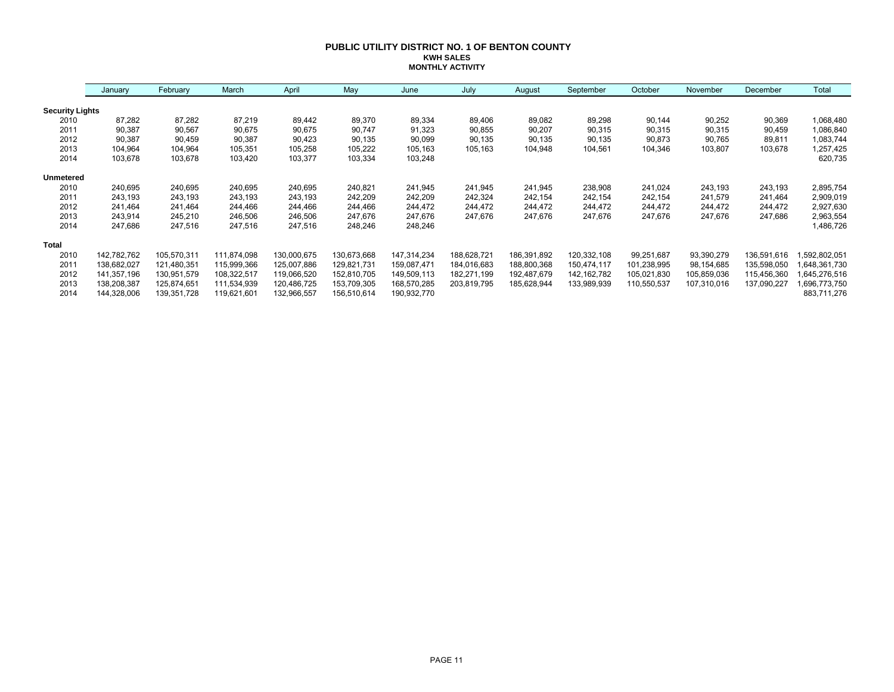#### **PUBLIC UTILITY DISTRICT NO. 1 OF BENTON COUNTY KWH SALES MONTHLY ACTIVITY**

|                        | January     | February    | March       | April       | May         | June        | July        | August      | September     | October     | November    | December    | Total        |
|------------------------|-------------|-------------|-------------|-------------|-------------|-------------|-------------|-------------|---------------|-------------|-------------|-------------|--------------|
| <b>Security Lights</b> |             |             |             |             |             |             |             |             |               |             |             |             |              |
| 2010                   | 87,282      | 87,282      | 87,219      | 89,442      | 89,370      | 89,334      | 89,406      | 89,082      | 89,298        | 90,144      | 90,252      | 90,369      | 1,068,480    |
| 2011                   | 90,387      | 90,567      | 90,675      | 90,675      | 90,747      | 91,323      | 90,855      | 90,207      | 90,315        | 90,315      | 90,315      | 90,459      | 1,086,840    |
| 2012                   | 90,387      | 90,459      | 90,387      | 90,423      | 90,135      | 90,099      | 90,135      | 90,135      | 90,135        | 90,873      | 90,765      | 89,811      | 1,083,744    |
| 2013                   | 104,964     | 104,964     | 105,351     | 105,258     | 105,222     | 105,163     | 105,163     | 104,948     | 104,561       | 104,346     | 103,807     | 103,678     | 1,257,425    |
| 2014                   | 103,678     | 103,678     | 103,420     | 103,377     | 103,334     | 103,248     |             |             |               |             |             |             | 620,735      |
| <b>Unmetered</b>       |             |             |             |             |             |             |             |             |               |             |             |             |              |
| 2010                   | 240,695     | 240,695     | 240,695     | 240,695     | 240,821     | 241,945     | 241,945     | 241,945     | 238,908       | 241,024     | 243,193     | 243,193     | 2,895,754    |
| 2011                   | 243,193     | 243,193     | 243,193     | 243,193     | 242,209     | 242,209     | 242,324     | 242,154     | 242,154       | 242,154     | 241,579     | 241,464     | 2,909,019    |
| 2012                   | 241,464     | 241,464     | 244,466     | 244,466     | 244,466     | 244,472     | 244,472     | 244,472     | 244,472       | 244,472     | 244,472     | 244,472     | 2,927,630    |
| 2013                   | 243,914     | 245,210     | 246,506     | 246,506     | 247,676     | 247,676     | 247,676     | 247,676     | 247,676       | 247,676     | 247,676     | 247,686     | 2,963,554    |
| 2014                   | 247,686     | 247,516     | 247,516     | 247,516     | 248,246     | 248,246     |             |             |               |             |             |             | 1,486,726    |
| <b>Total</b>           |             |             |             |             |             |             |             |             |               |             |             |             |              |
| 2010                   | 142,782,762 | 105,570,311 | 111,874,098 | 130,000,675 | 130,673,668 | 147,314,234 | 188,628,721 | 186,391,892 | 120,332,108   | 99,251,687  | 93,390,279  | 136,591,616 | ,592,802,051 |
| 2011                   | 138,682,027 | 121,480,351 | 115,999,366 | 125,007,886 | 129,821,731 | 159,087,471 | 184,016,683 | 188,800,368 | 150,474,117   | 101,238,995 | 98,154,685  | 135,598,050 | 648,361,730  |
| 2012                   | 141,357,196 | 130,951,579 | 108,322,517 | 119,066,520 | 152,810,705 | 149,509,113 | 182,271,199 | 192,487,679 | 142, 162, 782 | 105,021,830 | 105,859,036 | 115,456,360 | 645,276,516  |
| 2013                   | 138,208,387 | 125,874,651 | 111,534,939 | 120,486,725 | 153,709,305 | 168,570,285 | 203,819,795 | 185,628,944 | 133,989,939   | 110,550,537 | 107,310,016 | 137,090,227 | 696,773,750  |
| 2014                   | 144,328,006 | 139,351,728 | 119,621,601 | 132,966,557 | 156,510,614 | 190,932,770 |             |             |               |             |             |             | 883,711,276  |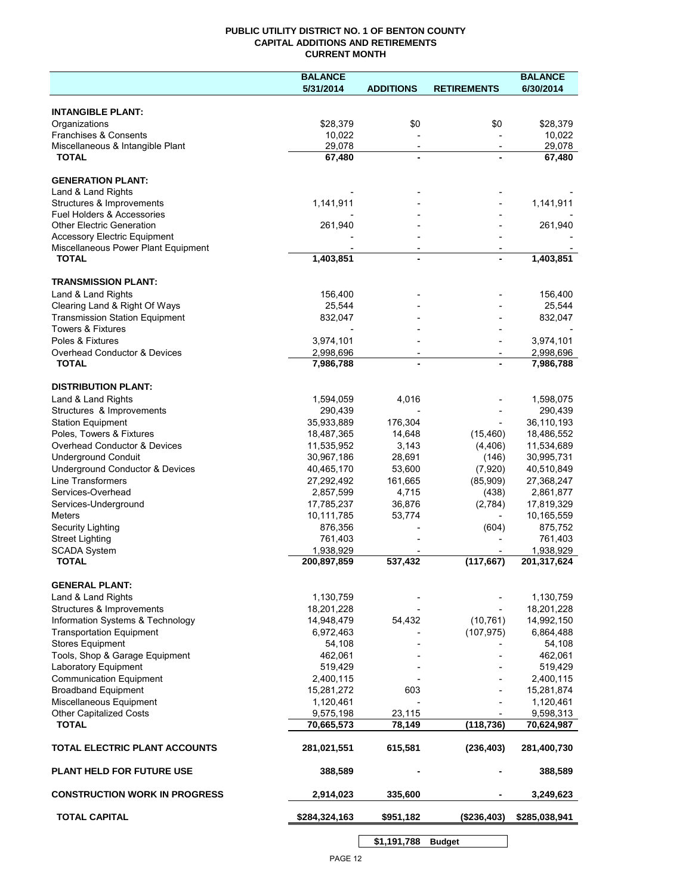## **PUBLIC UTILITY DISTRICT NO. 1 OF BENTON COUNTY CAPITAL ADDITIONS AND RETIREMENTS CURRENT MONTH**

|                                                  | <b>BALANCE</b>           |                          |                    | <b>BALANCE</b>       |
|--------------------------------------------------|--------------------------|--------------------------|--------------------|----------------------|
|                                                  | 5/31/2014                | <b>ADDITIONS</b>         | <b>RETIREMENTS</b> | 6/30/2014            |
|                                                  |                          |                          |                    |                      |
| <b>INTANGIBLE PLANT:</b>                         |                          |                          |                    |                      |
| Organizations                                    | \$28,379                 | \$0                      | \$0                | \$28,379             |
| Franchises & Consents                            | 10,022                   |                          |                    | 10,022               |
| Miscellaneous & Intangible Plant<br><b>TOTAL</b> | 29,078<br>67,480         | $\overline{\phantom{a}}$ |                    | 29,078<br>67,480     |
|                                                  |                          |                          |                    |                      |
| <b>GENERATION PLANT:</b>                         |                          |                          |                    |                      |
| Land & Land Rights                               |                          |                          |                    |                      |
| Structures & Improvements                        | 1,141,911                |                          |                    | 1,141,911            |
| Fuel Holders & Accessories                       |                          |                          |                    |                      |
| <b>Other Electric Generation</b>                 | 261,940                  |                          |                    | 261,940              |
| <b>Accessory Electric Equipment</b>              |                          |                          |                    |                      |
| Miscellaneous Power Plant Equipment              |                          |                          |                    |                      |
| <b>TOTAL</b>                                     | 1,403,851                | $\blacksquare$           |                    | 1,403,851            |
|                                                  |                          |                          |                    |                      |
| <b>TRANSMISSION PLANT:</b>                       |                          |                          |                    |                      |
| Land & Land Rights                               | 156,400                  |                          |                    | 156,400              |
| Clearing Land & Right Of Ways                    | 25,544                   |                          |                    | 25,544               |
| <b>Transmission Station Equipment</b>            | 832,047                  |                          |                    | 832,047              |
| <b>Towers &amp; Fixtures</b>                     |                          |                          |                    |                      |
| Poles & Fixtures                                 | 3,974,101                |                          |                    | 3,974,101            |
| Overhead Conductor & Devices                     | 2,998,696                |                          |                    | 2,998,696            |
| <b>TOTAL</b>                                     | 7,986,788                |                          |                    | 7,986,788            |
|                                                  |                          |                          |                    |                      |
| <b>DISTRIBUTION PLANT:</b>                       |                          |                          |                    |                      |
| Land & Land Rights                               | 1,594,059                | 4,016                    |                    | 1,598,075            |
| Structures & Improvements                        | 290,439                  |                          |                    | 290,439              |
| <b>Station Equipment</b>                         | 35,933,889               | 176,304                  |                    | 36,110,193           |
| Poles, Towers & Fixtures                         | 18,487,365               | 14,648                   | (15, 460)          | 18,486,552           |
| Overhead Conductor & Devices                     | 11,535,952               | 3,143                    | (4, 406)           | 11,534,689           |
| <b>Underground Conduit</b>                       | 30,967,186               | 28,691                   | (146)              | 30,995,731           |
| Underground Conductor & Devices                  | 40,465,170               | 53,600                   | (7,920)            | 40,510,849           |
| <b>Line Transformers</b>                         | 27,292,492               | 161,665                  | (85,909)           | 27,368,247           |
| Services-Overhead                                | 2,857,599                | 4,715                    | (438)              | 2,861,877            |
| Services-Underground                             | 17,785,237               | 36,876                   | (2,784)            | 17,819,329           |
| <b>Meters</b>                                    | 10,111,785               | 53,774                   |                    | 10,165,559           |
| Security Lighting                                | 876,356                  |                          | (604)              | 875,752              |
| <b>Street Lighting</b>                           | 761,403                  |                          |                    | 761,403<br>1,938,929 |
| <b>SCADA System</b><br><b>TOTAL</b>              | 1,938,929<br>200,897,859 | 537,432                  | (117, 667)         | 201,317,624          |
|                                                  |                          |                          |                    |                      |
| <b>GENERAL PLANT:</b>                            |                          |                          |                    |                      |
| Land & Land Rights                               | 1,130,759                |                          |                    | 1,130,759            |
| Structures & Improvements                        | 18,201,228               |                          |                    | 18,201,228           |
| Information Systems & Technology                 | 14,948,479               | 54,432                   | (10, 761)          | 14,992,150           |
| <b>Transportation Equipment</b>                  | 6,972,463                |                          | (107, 975)         | 6,864,488            |
| <b>Stores Equipment</b>                          | 54,108                   |                          |                    | 54,108               |
| Tools, Shop & Garage Equipment                   | 462,061                  |                          |                    | 462,061              |
| Laboratory Equipment                             | 519,429                  |                          |                    | 519,429              |
| <b>Communication Equipment</b>                   | 2,400,115                |                          |                    | 2,400,115            |
| <b>Broadband Equipment</b>                       | 15,281,272               | 603                      |                    | 15,281,874           |
| Miscellaneous Equipment                          | 1,120,461                |                          |                    | 1,120,461            |
| <b>Other Capitalized Costs</b>                   | 9,575,198                | 23,115                   |                    | 9,598,313            |
| <b>TOTAL</b>                                     | 70,665,573               | 78,149                   | (118, 736)         | 70,624,987           |
|                                                  |                          |                          |                    |                      |
| TOTAL ELECTRIC PLANT ACCOUNTS                    | 281,021,551              | 615,581                  | (236, 403)         | 281,400,730          |
|                                                  |                          |                          |                    |                      |
| <b>PLANT HELD FOR FUTURE USE</b>                 | 388,589                  |                          |                    | 388,589              |
|                                                  |                          |                          |                    |                      |
| <b>CONSTRUCTION WORK IN PROGRESS</b>             | 2,914,023                | 335,600                  |                    | 3,249,623            |
|                                                  |                          |                          |                    |                      |
| <b>TOTAL CAPITAL</b>                             | \$284,324,163            | \$951,182                | (\$236,403)        | \$285,038,941        |
|                                                  |                          |                          |                    |                      |

**\$1,191,788 Budget**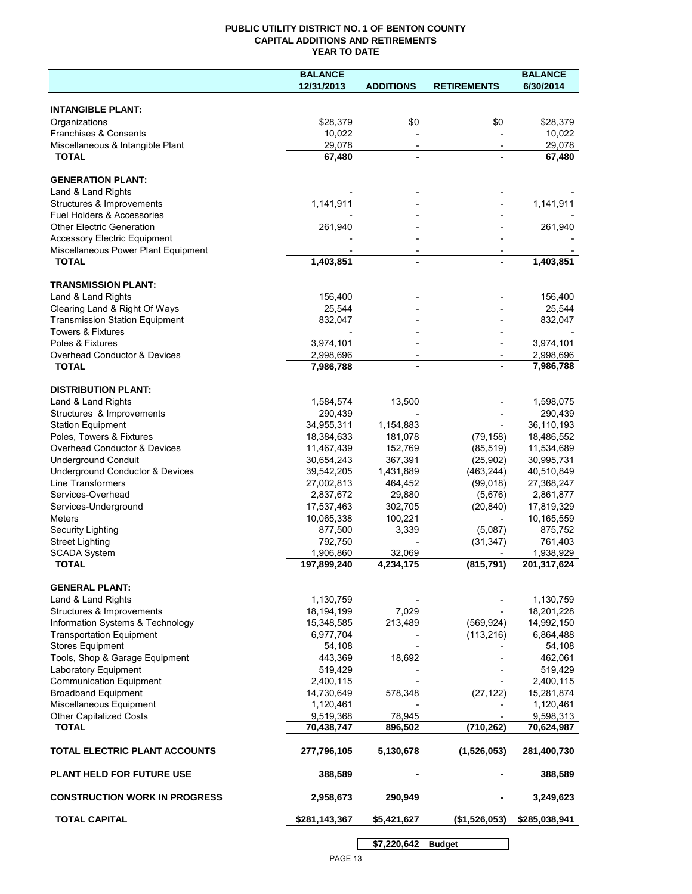## **PUBLIC UTILITY DISTRICT NO. 1 OF BENTON COUNTY CAPITAL ADDITIONS AND RETIREMENTS YEAR TO DATE**

|                                                                            | <b>BALANCE</b>          |                          |                          | <b>BALANCE</b>          |
|----------------------------------------------------------------------------|-------------------------|--------------------------|--------------------------|-------------------------|
|                                                                            | 12/31/2013              | <b>ADDITIONS</b>         | <b>RETIREMENTS</b>       | 6/30/2014               |
|                                                                            |                         |                          |                          |                         |
| <b>INTANGIBLE PLANT:</b>                                                   |                         |                          |                          |                         |
| Organizations                                                              | \$28,379                | \$0                      | \$0                      | \$28,379                |
| Franchises & Consents                                                      | 10,022                  |                          |                          | 10,022                  |
| Miscellaneous & Intangible Plant                                           | 29,078                  | $\overline{\phantom{a}}$ | $\overline{\phantom{a}}$ | 29,078                  |
| <b>TOTAL</b>                                                               | 67,480                  |                          |                          | 67,480                  |
|                                                                            |                         |                          |                          |                         |
| <b>GENERATION PLANT:</b>                                                   |                         |                          |                          |                         |
| Land & Land Rights                                                         |                         |                          |                          |                         |
| Structures & Improvements                                                  | 1,141,911               |                          |                          | 1,141,911               |
| <b>Fuel Holders &amp; Accessories</b>                                      |                         |                          |                          |                         |
| <b>Other Electric Generation</b>                                           | 261,940                 |                          |                          | 261,940                 |
| <b>Accessory Electric Equipment</b><br>Miscellaneous Power Plant Equipment |                         |                          |                          |                         |
| <b>TOTAL</b>                                                               | 1,403,851               |                          |                          | 1,403,851               |
|                                                                            |                         |                          |                          |                         |
| <b>TRANSMISSION PLANT:</b>                                                 |                         |                          |                          |                         |
| Land & Land Rights                                                         | 156,400                 |                          |                          | 156,400                 |
| Clearing Land & Right Of Ways                                              | 25,544                  |                          |                          | 25,544                  |
| <b>Transmission Station Equipment</b>                                      | 832,047                 |                          |                          | 832,047                 |
| <b>Towers &amp; Fixtures</b>                                               |                         |                          |                          |                         |
| Poles & Fixtures                                                           | 3,974,101               |                          |                          | 3,974,101               |
| Overhead Conductor & Devices                                               | 2,998,696               |                          |                          | 2,998,696               |
| <b>TOTAL</b>                                                               | 7,986,788               |                          |                          | 7,986,788               |
|                                                                            |                         |                          |                          |                         |
| <b>DISTRIBUTION PLANT:</b>                                                 |                         |                          |                          |                         |
| Land & Land Rights                                                         | 1,584,574               | 13,500                   |                          | 1,598,075               |
| Structures & Improvements                                                  | 290,439                 |                          |                          | 290,439                 |
| <b>Station Equipment</b>                                                   | 34,955,311              | 1,154,883                |                          | 36,110,193              |
| Poles, Towers & Fixtures                                                   | 18,384,633              | 181,078                  | (79, 158)                | 18,486,552              |
| Overhead Conductor & Devices                                               | 11,467,439              | 152,769                  | (85, 519)                | 11,534,689              |
| <b>Underground Conduit</b>                                                 | 30,654,243              | 367,391                  | (25,902)                 | 30,995,731              |
| Underground Conductor & Devices                                            | 39,542,205              | 1,431,889                | (463, 244)               | 40,510,849              |
| Line Transformers                                                          | 27,002,813              | 464,452                  | (99,018)                 | 27,368,247              |
| Services-Overhead                                                          | 2,837,672               | 29,880                   | (5,676)                  | 2,861,877               |
| Services-Underground                                                       | 17,537,463              | 302,705                  | (20, 840)                | 17,819,329              |
| <b>Meters</b>                                                              | 10,065,338              | 100,221                  |                          | 10,165,559              |
| Security Lighting                                                          | 877,500                 | 3,339                    | (5,087)                  | 875,752                 |
| <b>Street Lighting</b>                                                     | 792,750                 |                          | (31, 347)                | 761,403                 |
| <b>SCADA System</b>                                                        | 1,906,860               | 32,069                   |                          | 1,938,929               |
| <b>TOTAL</b>                                                               | 197,899,240             | 4,234,175                | (815, 791)               | 201,317,624             |
|                                                                            |                         |                          |                          |                         |
| <b>GENERAL PLANT:</b>                                                      |                         |                          |                          |                         |
| Land & Land Rights                                                         | 1,130,759               |                          |                          | 1,130,759               |
| Structures & Improvements                                                  | 18,194,199              | 7,029                    |                          | 18,201,228              |
| Information Systems & Technology                                           | 15,348,585              | 213,489                  | (569, 924)               | 14,992,150              |
| <b>Transportation Equipment</b>                                            | 6,977,704               |                          | (113, 216)               | 6,864,488               |
| <b>Stores Equipment</b>                                                    | 54,108                  |                          |                          | 54,108                  |
| Tools, Shop & Garage Equipment                                             | 443,369                 | 18,692                   |                          | 462,061                 |
| Laboratory Equipment                                                       | 519,429                 |                          |                          | 519,429                 |
| <b>Communication Equipment</b>                                             | 2,400,115               |                          |                          | 2,400,115               |
| <b>Broadband Equipment</b>                                                 | 14,730,649              | 578,348                  | (27, 122)                | 15,281,874              |
| Miscellaneous Equipment                                                    | 1,120,461               |                          |                          | 1,120,461               |
| <b>Other Capitalized Costs</b><br><b>TOTAL</b>                             | 9,519,368<br>70,438,747 | 78,945<br>896,502        | (710, 262)               | 9,598,313<br>70,624,987 |
|                                                                            |                         |                          |                          |                         |
| TOTAL ELECTRIC PLANT ACCOUNTS                                              | 277,796,105             | 5,130,678                | (1,526,053)              | 281,400,730             |
| <b>PLANT HELD FOR FUTURE USE</b>                                           | 388,589                 |                          |                          | 388,589                 |
| <b>CONSTRUCTION WORK IN PROGRESS</b>                                       | 2,958,673               | 290,949                  |                          | 3,249,623               |
|                                                                            |                         |                          |                          |                         |
| <b>TOTAL CAPITAL</b>                                                       | \$281,143,367           | \$5,421,627              | (\$1,526,053)            | \$285,038,941           |
|                                                                            |                         | \$7,220,642              | <b>Budget</b>            |                         |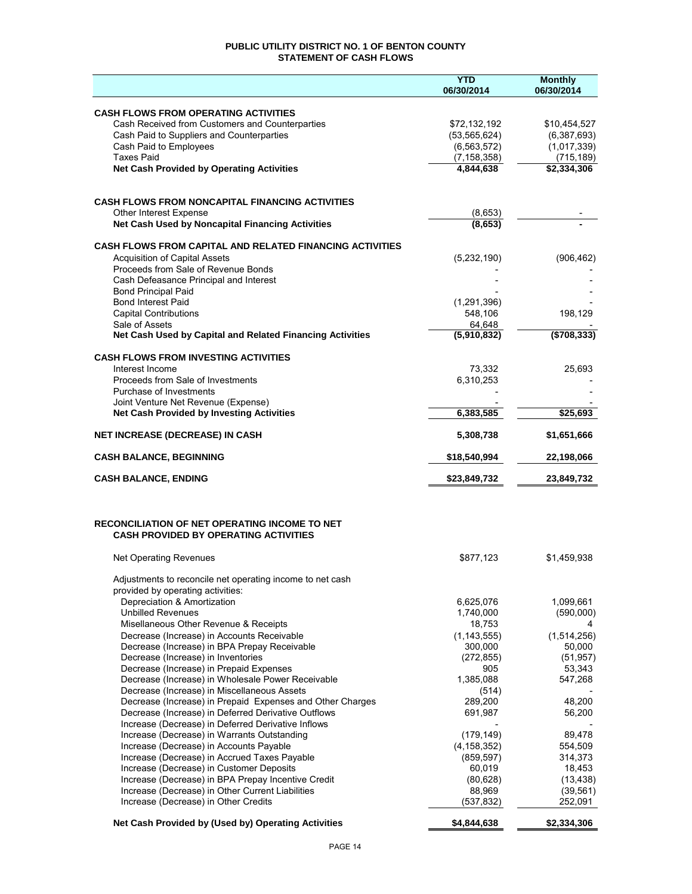## **PUBLIC UTILITY DISTRICT NO. 1 OF BENTON COUNTY STATEMENT OF CASH FLOWS**

|                                                                                                                  | <b>YTD</b><br>06/30/2014   | <b>Monthly</b><br>06/30/2014 |
|------------------------------------------------------------------------------------------------------------------|----------------------------|------------------------------|
|                                                                                                                  |                            |                              |
| <b>CASH FLOWS FROM OPERATING ACTIVITIES</b>                                                                      |                            |                              |
| Cash Received from Customers and Counterparties                                                                  | \$72,132,192               | \$10,454,527                 |
| Cash Paid to Suppliers and Counterparties                                                                        | (53, 565, 624)             | (6,387,693)                  |
| Cash Paid to Employees<br><b>Taxes Paid</b>                                                                      | (6, 563, 572)              | (1,017,339)                  |
| <b>Net Cash Provided by Operating Activities</b>                                                                 | (7, 158, 358)<br>4,844,638 | (715, 189)<br>\$2,334,306    |
|                                                                                                                  |                            |                              |
|                                                                                                                  |                            |                              |
| <b>CASH FLOWS FROM NONCAPITAL FINANCING ACTIVITIES</b>                                                           |                            |                              |
| Other Interest Expense<br>Net Cash Used by Noncapital Financing Activities                                       | (8,653)<br>(8,653)         |                              |
|                                                                                                                  |                            |                              |
| <b>CASH FLOWS FROM CAPITAL AND RELATED FINANCING ACTIVITIES</b>                                                  |                            |                              |
| <b>Acquisition of Capital Assets</b>                                                                             | (5,232,190)                | (906, 462)                   |
| Proceeds from Sale of Revenue Bonds<br>Cash Defeasance Principal and Interest                                    |                            |                              |
| <b>Bond Principal Paid</b>                                                                                       |                            |                              |
| <b>Bond Interest Paid</b>                                                                                        | (1, 291, 396)              |                              |
| <b>Capital Contributions</b>                                                                                     | 548,106                    | 198,129                      |
| Sale of Assets                                                                                                   | 64,648                     |                              |
| Net Cash Used by Capital and Related Financing Activities                                                        | (5,910,832)                | ( \$708, 333)                |
| <b>CASH FLOWS FROM INVESTING ACTIVITIES</b>                                                                      |                            |                              |
| Interest Income                                                                                                  | 73,332                     | 25,693                       |
| Proceeds from Sale of Investments                                                                                | 6,310,253                  |                              |
| Purchase of Investments                                                                                          |                            |                              |
| Joint Venture Net Revenue (Expense)                                                                              |                            |                              |
| <b>Net Cash Provided by Investing Activities</b>                                                                 | 6,383,585                  | \$25,693                     |
| <b>NET INCREASE (DECREASE) IN CASH</b>                                                                           | 5,308,738                  | \$1,651,666                  |
| <b>CASH BALANCE, BEGINNING</b>                                                                                   | \$18,540,994               | 22,198,066                   |
| <b>CASH BALANCE, ENDING</b>                                                                                      | \$23,849,732               | 23,849,732                   |
|                                                                                                                  |                            |                              |
|                                                                                                                  |                            |                              |
| RECONCILIATION OF NET OPERATING INCOME TO NET                                                                    |                            |                              |
| <b>CASH PROVIDED BY OPERATING ACTIVITIES</b>                                                                     |                            |                              |
| <b>Net Operating Revenues</b>                                                                                    | \$877,123                  | \$1,459,938                  |
|                                                                                                                  |                            |                              |
| Adjustments to reconcile net operating income to net cash                                                        |                            |                              |
| provided by operating activities:<br>Depreciation & Amortization                                                 | 6,625,076                  | 1,099,661                    |
| <b>Unbilled Revenues</b>                                                                                         | 1,740,000                  | (590,000)                    |
| Misellaneous Other Revenue & Receipts                                                                            | 18,753                     |                              |
| Decrease (Increase) in Accounts Receivable                                                                       | (1, 143, 555)              | (1,514,256)                  |
| Decrease (Increase) in BPA Prepay Receivable                                                                     | 300.000                    | 50,000                       |
| Decrease (Increase) in Inventories                                                                               | (272, 855)                 | (51, 957)                    |
| Decrease (Increase) in Prepaid Expenses                                                                          | 905                        | 53,343                       |
| Decrease (Increase) in Wholesale Power Receivable                                                                | 1,385,088                  | 547,268                      |
| Decrease (Increase) in Miscellaneous Assets                                                                      | (514)<br>289,200           | 48,200                       |
| Decrease (Increase) in Prepaid Expenses and Other Charges<br>Decrease (Increase) in Deferred Derivative Outflows | 691,987                    | 56,200                       |
| Increase (Decrease) in Deferred Derivative Inflows                                                               |                            |                              |
| Increase (Decrease) in Warrants Outstanding                                                                      | (179, 149)                 | 89,478                       |
| Increase (Decrease) in Accounts Payable                                                                          | (4, 158, 352)              | 554,509                      |
| Increase (Decrease) in Accrued Taxes Payable                                                                     | (859, 597)                 | 314,373                      |
| Increase (Decrease) in Customer Deposits                                                                         | 60,019                     | 18,453                       |
| Increase (Decrease) in BPA Prepay Incentive Credit                                                               | (80, 628)                  | (13, 438)                    |
| Increase (Decrease) in Other Current Liabilities                                                                 | 88,969                     | (39, 561)                    |
| Increase (Decrease) in Other Credits                                                                             | (537, 832)                 | 252,091                      |
| Net Cash Provided by (Used by) Operating Activities                                                              | \$4,844,638                | \$2,334,306                  |
|                                                                                                                  |                            |                              |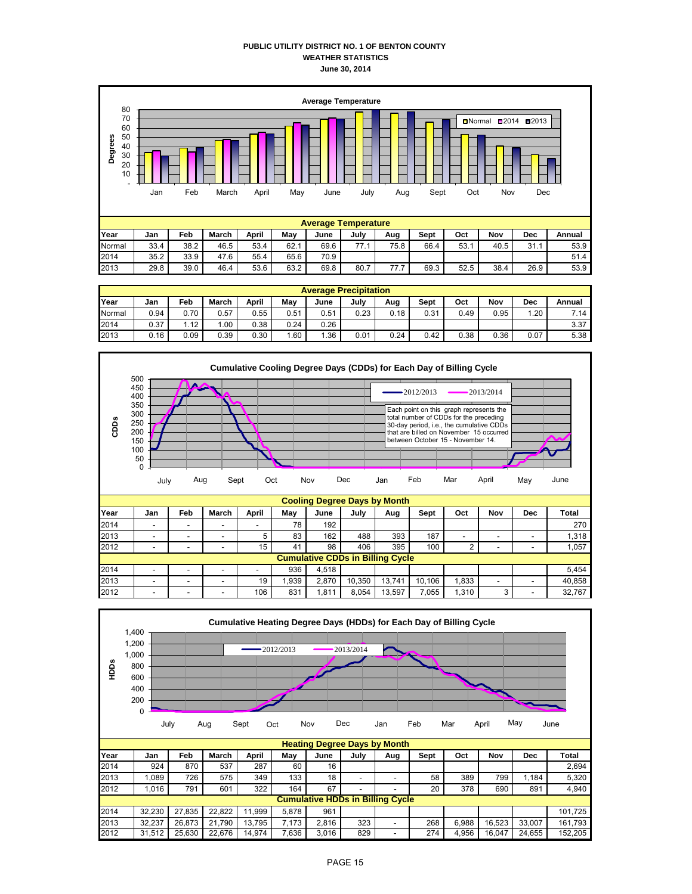#### **PUBLIC UTILITY DISTRICT NO. 1 OF BENTON COUNTY WEATHER STATISTICS June 30, 2014**



|        | <b>Average Precipitation</b> |      |       |       |      |      |      |      |      |      |      |      |        |
|--------|------------------------------|------|-------|-------|------|------|------|------|------|------|------|------|--------|
| Year   | Jan                          | Feb  | March | April | May  | June | July | Aug  | Sept | Oct  | Nov  | Dec  | Annual |
| Normal | 0.94                         | 0.70 | 0.57  | 0.55  | 0.51 | 0.51 | 0.23 | 0.18 | 0.31 | 0.49 | 0.95 | 1.20 | 7.14   |
| 2014   | 0.37                         | 1.12 | .00   | 0.38  | 0.24 | 0.26 |      |      |      |      |      |      | 3.37   |
| 2013   | 0.16                         | 0.09 | 0.39  | 0.30  | 1.60 | .36  | 0.01 | 0.24 | 0.42 | 0.38 | 0.36 | 0.07 | 5.38   |



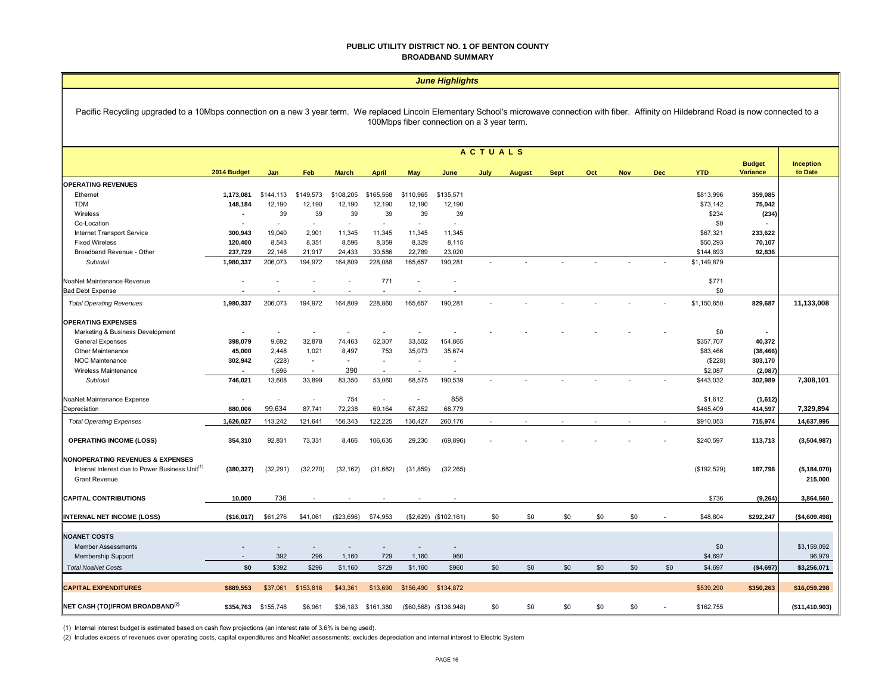#### **PUBLIC UTILITY DISTRICT NO. 1 OF BENTON COUNTY BROADBAND SUMMARY**

 $\overline{\phantom{0}}$ 

|                                                                                                                                                                                                                                                  | <b>June Highlights</b> |                          |                          |              |                          |                          |                          |                |               |             |     |            |            |             |                          |                |
|--------------------------------------------------------------------------------------------------------------------------------------------------------------------------------------------------------------------------------------------------|------------------------|--------------------------|--------------------------|--------------|--------------------------|--------------------------|--------------------------|----------------|---------------|-------------|-----|------------|------------|-------------|--------------------------|----------------|
| Pacific Recycling upgraded to a 10Mbps connection on a new 3 year term. We replaced Lincoln Elementary School's microwave connection with fiber. Affinity on Hildebrand Road is now connected to a<br>100Mbps fiber connection on a 3 year term. |                        |                          |                          |              |                          |                          |                          |                |               |             |     |            |            |             |                          |                |
|                                                                                                                                                                                                                                                  |                        |                          |                          |              |                          |                          |                          | <b>ACTUALS</b> |               |             |     |            |            |             |                          |                |
|                                                                                                                                                                                                                                                  |                        |                          |                          |              |                          |                          |                          |                |               |             |     |            |            |             | <b>Budget</b>            | Inception      |
|                                                                                                                                                                                                                                                  | 2014 Budget            | Jan                      | Feb                      | <b>March</b> | <b>April</b>             | May                      | June                     | July           | <b>August</b> | <b>Sept</b> | Oct | <b>Nov</b> | <b>Dec</b> | <b>YTD</b>  | <b>Variance</b>          | to Date        |
| <b>OPERATING REVENUES</b>                                                                                                                                                                                                                        |                        |                          |                          |              |                          |                          |                          |                |               |             |     |            |            |             |                          |                |
| Ethernet                                                                                                                                                                                                                                         | 1,173,081              | \$144,113                | \$149,573                | \$108,205    | \$165,568                | \$110,965                | \$135,571                |                |               |             |     |            |            | \$813,996   | 359,085                  |                |
| <b>TDM</b>                                                                                                                                                                                                                                       | 148,184                | 12,190                   | 12,190                   | 12,190       | 12,190                   | 12,190                   | 12,190                   |                |               |             |     |            |            | \$73,142    | 75,042                   |                |
| Wireless                                                                                                                                                                                                                                         |                        | 39                       | 39                       | 39           | 39                       | 39                       | 39                       |                |               |             |     |            |            | \$234       | (234)                    |                |
| Co-Location                                                                                                                                                                                                                                      |                        | $\overline{\phantom{a}}$ | $\sim$                   | $\sim$       | $\sim$                   | $\overline{\phantom{a}}$ | $\overline{\phantom{a}}$ |                |               |             |     |            |            | \$0         |                          |                |
| Internet Transport Service                                                                                                                                                                                                                       | 300,943                | 19,040                   | 2,901                    | 11,345       | 11,345                   | 11,345                   | 11,345                   |                |               |             |     |            |            | \$67,321    | 233,622                  |                |
| <b>Fixed Wireless</b>                                                                                                                                                                                                                            | 120,400                | 8,543                    | 8,351                    | 8,596        | 8,359                    | 8,329                    | 8,115                    |                |               |             |     |            |            | \$50,293    | 70,107                   |                |
| Broadband Revenue - Other                                                                                                                                                                                                                        | 237,729                | 22.148                   | 21.917                   | 24.433       | 30.586                   | 22,789                   | 23,020                   |                |               |             |     |            |            | \$144,893   | 92,836                   |                |
| Subtotal                                                                                                                                                                                                                                         | 1,980,337              | 206,073                  | 194,972                  | 164,809      | 228,088                  | 165,657                  | 190,281                  |                |               |             |     |            |            | \$1,149,879 |                          |                |
| NoaNet Maintenance Revenue                                                                                                                                                                                                                       |                        |                          |                          |              | 771                      | ÷,                       |                          |                |               |             |     |            |            | \$771       |                          |                |
| <b>Bad Debt Expense</b>                                                                                                                                                                                                                          |                        |                          |                          |              |                          | ÷.                       |                          |                |               |             |     |            |            | \$0         |                          |                |
| <b>Total Operating Revenues</b>                                                                                                                                                                                                                  | 1,980,337              | 206,073                  | 194,972                  | 164,809      | 228,860                  | 165,657                  | 190,281                  |                |               |             |     |            |            | \$1,150,650 | 829,687                  | 11,133,008     |
|                                                                                                                                                                                                                                                  |                        |                          |                          |              |                          |                          |                          |                |               |             |     |            |            |             |                          |                |
| <b>OPERATING EXPENSES</b>                                                                                                                                                                                                                        |                        |                          |                          |              |                          |                          |                          |                |               |             |     |            |            |             |                          |                |
| Marketing & Business Development                                                                                                                                                                                                                 |                        | ÷,                       | $\overline{\phantom{a}}$ |              |                          | ÷,                       |                          |                |               |             |     |            |            | \$0         | $\overline{\phantom{a}}$ |                |
| <b>General Expenses</b>                                                                                                                                                                                                                          | 398,079                | 9,692                    | 32,878                   | 74,463       | 52,307                   | 33,502                   | 154,865                  |                |               |             |     |            |            | \$357,707   | 40,372                   |                |
| Other Maintenance                                                                                                                                                                                                                                | 45,000                 | 2,448                    | 1,021                    | 8,497        | 753                      | 35,073                   | 35,674                   |                |               |             |     |            |            | \$83,466    | (38, 466)                |                |
| NOC Maintenance                                                                                                                                                                                                                                  | 302,942                | (228)                    | $\sim$                   | $\sim$       | $\overline{\phantom{a}}$ | $\sim$                   | $\overline{\phantom{a}}$ |                |               |             |     |            |            | (\$228)     | 303,170                  |                |
| Wireless Maintenance                                                                                                                                                                                                                             |                        | 1,696                    | $\sim$                   | 390          |                          |                          |                          |                |               |             |     |            |            | \$2,087     | (2,087)                  |                |
| Subtotal                                                                                                                                                                                                                                         | 746,021                | 13,608                   | 33,899                   | 83,350       | 53,060                   | 68,575                   | 190,539                  |                |               |             |     |            |            | \$443,032   | 302,989                  | 7,308,101      |
|                                                                                                                                                                                                                                                  |                        |                          |                          |              |                          |                          |                          |                |               |             |     |            |            |             |                          |                |
| NoaNet Maintenance Expense                                                                                                                                                                                                                       |                        | ÷,                       | $\overline{\phantom{a}}$ | 754          | $\sim$                   | $\overline{\phantom{a}}$ | 858                      |                |               |             |     |            |            | \$1,612     | (1,612)                  |                |
| Depreciation                                                                                                                                                                                                                                     | 880,006                | 99,634                   | 87,741                   | 72,238       | 69,164                   | 67,852                   | 68,779                   |                |               |             |     |            |            | \$465,409   | 414,597                  | 7,329,894      |
| <b>Total Operating Expenses</b>                                                                                                                                                                                                                  | 1,626,027              | 113,242                  | 121,641                  | 156,343      | 122,225                  | 136,427                  | 260,176                  |                |               |             |     |            |            | \$910,053   | 715,974                  | 14,637,995     |
| <b>OPERATING INCOME (LOSS)</b>                                                                                                                                                                                                                   | 354,310                | 92,831                   | 73,331                   | 8,466        | 106,635                  | 29,230                   | (69, 896)                |                |               |             |     |            |            | \$240,597   | 113,713                  | (3,504,987)    |
|                                                                                                                                                                                                                                                  |                        |                          |                          |              |                          |                          |                          |                |               |             |     |            |            |             |                          |                |
| <b>NONOPERATING REVENUES &amp; EXPENSES</b>                                                                                                                                                                                                      |                        |                          |                          |              |                          |                          |                          |                |               |             |     |            |            |             |                          |                |
| Internal Interest due to Power Business Unit <sup>(1)</sup>                                                                                                                                                                                      | (380, 327)             | (32, 291)                | (32, 270)                | (32, 162)    | (31, 682)                | (31, 859)                | (32, 265)                |                |               |             |     |            |            | (\$192,529) | 187,798                  | (5, 184, 070)  |
| <b>Grant Revenue</b>                                                                                                                                                                                                                             |                        |                          |                          |              |                          |                          |                          |                |               |             |     |            |            |             |                          | 215,000        |
|                                                                                                                                                                                                                                                  |                        |                          |                          |              |                          |                          |                          |                |               |             |     |            |            |             |                          |                |
| <b>CAPITAL CONTRIBUTIONS</b>                                                                                                                                                                                                                     | 10.000                 | 736                      |                          |              |                          |                          |                          |                |               |             |     |            |            | \$736       | (9, 264)                 | 3,864,560      |
| INTERNAL NET INCOME (LOSS)                                                                                                                                                                                                                       | (\$16,017)             | \$61,276                 | \$41,061                 | (\$23,696)   | \$74,953                 |                          | (\$2,629) (\$102,161)    | \$0            | \$0           | \$0         | \$0 | \$0        |            | \$48,804    | \$292,247                | ( \$4,609,498) |
|                                                                                                                                                                                                                                                  |                        |                          |                          |              |                          |                          |                          |                |               |             |     |            |            |             |                          |                |
| <b>NOANET COSTS</b>                                                                                                                                                                                                                              |                        |                          |                          |              |                          |                          |                          |                |               |             |     |            |            |             |                          |                |
| <b>Member Assessments</b>                                                                                                                                                                                                                        |                        |                          | ÷,                       |              |                          |                          |                          |                |               |             |     |            |            | \$0         |                          | \$3,159,092    |
| Membership Support                                                                                                                                                                                                                               |                        | 392                      | 296                      | 1,160        | 729                      | 1,160                    | 960                      |                |               |             |     |            |            | \$4,697     |                          | 96,979         |
| <b>Total NoaNet Costs</b>                                                                                                                                                                                                                        | \$0                    | \$392                    | \$296                    | \$1,160      | \$729                    | \$1,160                  | \$960                    | \$0            | \$0           | \$0         | \$0 | \$0        | \$0        | \$4,697     | (\$4,697)                | \$3,256,071    |
|                                                                                                                                                                                                                                                  |                        |                          |                          |              |                          |                          |                          |                |               |             |     |            |            |             |                          |                |
| <b>CAPITAL EXPENDITURES</b>                                                                                                                                                                                                                      | \$889,553              | \$37,061                 | \$153,816                | \$43,361     | \$13,690                 | \$156,490                | \$134,872                |                |               |             |     |            |            | \$539,290   | \$350,263                | \$16,059,298   |
| NET CASH (TO)/FROM BROADBAND <sup>(2)</sup>                                                                                                                                                                                                      |                        |                          |                          |              |                          |                          |                          | \$0            | \$0           | \$0         | \$0 |            |            |             |                          |                |
|                                                                                                                                                                                                                                                  | \$354,763              | \$155,748                | \$6,961                  | \$36,183     | \$161,380                |                          | $($60,568)$ $($136,948)$ |                |               |             |     | \$0        |            | \$162,755   |                          | (\$11,410,903) |

(1) Internal interest budget is estimated based on cash flow projections (an interest rate of 3.6% is being used).

 $\blacksquare$ 

(2) Includes excess of revenues over operating costs, capital expenditures and NoaNet assessments; excludes depreciation and internal interest to Electric System